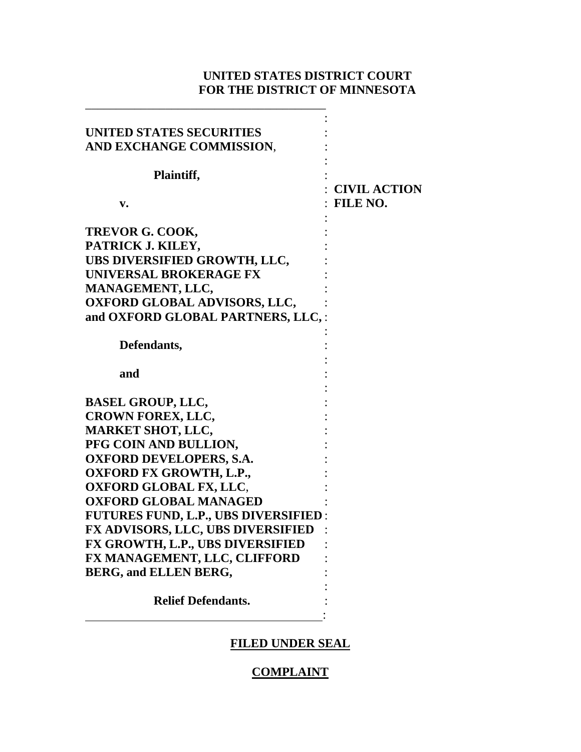# **UNITED STATES DISTRICT COURT FOR THE DISTRICT OF MINNESOTA**

| UNITED STATES SECURITIES<br>AND EXCHANGE COMMISSION, |                     |
|------------------------------------------------------|---------------------|
| Plaintiff,                                           |                     |
|                                                      | <b>CIVIL ACTION</b> |
| v.                                                   | FILE NO.            |
|                                                      |                     |
| TREVOR G. COOK,                                      |                     |
| PATRICK J. KILEY,                                    |                     |
| UBS DIVERSIFIED GROWTH, LLC,                         |                     |
| <b>UNIVERSAL BROKERAGE FX</b>                        |                     |
| MANAGEMENT, LLC,                                     |                     |
| <b>OXFORD GLOBAL ADVISORS, LLC,</b>                  |                     |
| and OXFORD GLOBAL PARTNERS, LLC,:                    |                     |
|                                                      |                     |
| Defendants,                                          |                     |
|                                                      |                     |
| and                                                  |                     |
|                                                      |                     |
| <b>BASEL GROUP, LLC,</b>                             |                     |
| <b>CROWN FOREX, LLC,</b>                             |                     |
| <b>MARKET SHOT, LLC,</b>                             |                     |
| PFG COIN AND BULLION,                                |                     |
| <b>OXFORD DEVELOPERS, S.A.</b>                       |                     |
| <b>OXFORD FX GROWTH, L.P.,</b>                       |                     |
| <b>OXFORD GLOBAL FX, LLC,</b>                        |                     |
| <b>OXFORD GLOBAL MANAGED</b>                         |                     |
| <b>FUTURES FUND, L.P., UBS DIVERSIFIED:</b>          |                     |
| <b>FX ADVISORS, LLC, UBS DIVERSIFIED</b>             |                     |
| FX GROWTH, L.P., UBS DIVERSIFIED                     |                     |
| FX MANAGEMENT, LLC, CLIFFORD                         |                     |
| BERG, and ELLEN BERG,                                |                     |
|                                                      |                     |
| <b>Relief Defendants.</b>                            |                     |
|                                                      |                     |

\_\_\_\_\_\_\_\_\_\_\_\_\_\_\_\_\_\_\_\_\_\_\_\_\_\_\_\_\_\_\_\_\_\_\_\_\_\_\_

# **FILED UNDER SEAL**

## **COMPLAINT**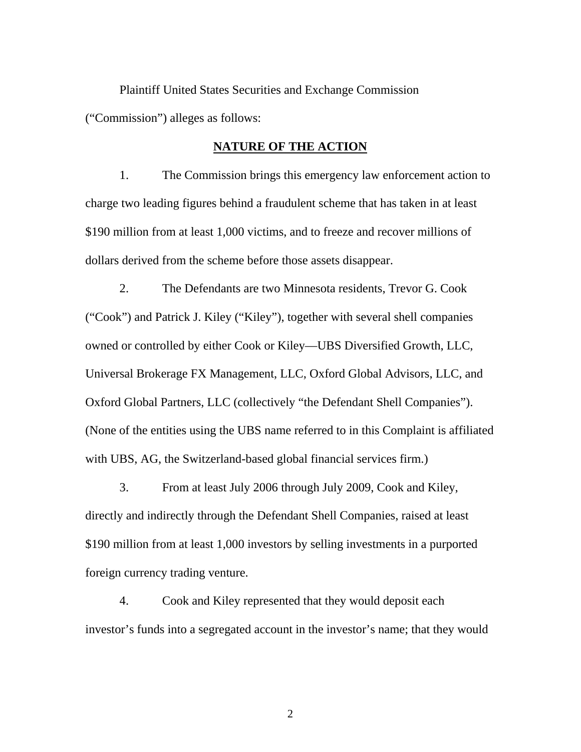Plaintiff United States Securities and Exchange Commission ("Commission") alleges as follows:

## **NATURE OF THE ACTION**

1. The Commission brings this emergency law enforcement action to charge two leading figures behind a fraudulent scheme that has taken in at least \$190 million from at least 1,000 victims, and to freeze and recover millions of dollars derived from the scheme before those assets disappear.

2. The Defendants are two Minnesota residents, Trevor G. Cook ("Cook") and Patrick J. Kiley ("Kiley"), together with several shell companies owned or controlled by either Cook or Kiley—UBS Diversified Growth, LLC, Universal Brokerage FX Management, LLC, Oxford Global Advisors, LLC, and Oxford Global Partners, LLC (collectively "the Defendant Shell Companies"). (None of the entities using the UBS name referred to in this Complaint is affiliated with UBS, AG, the Switzerland-based global financial services firm.)

3. From at least July 2006 through July 2009, Cook and Kiley, directly and indirectly through the Defendant Shell Companies, raised at least \$190 million from at least 1,000 investors by selling investments in a purported foreign currency trading venture.

4. Cook and Kiley represented that they would deposit each investor's funds into a segregated account in the investor's name; that they would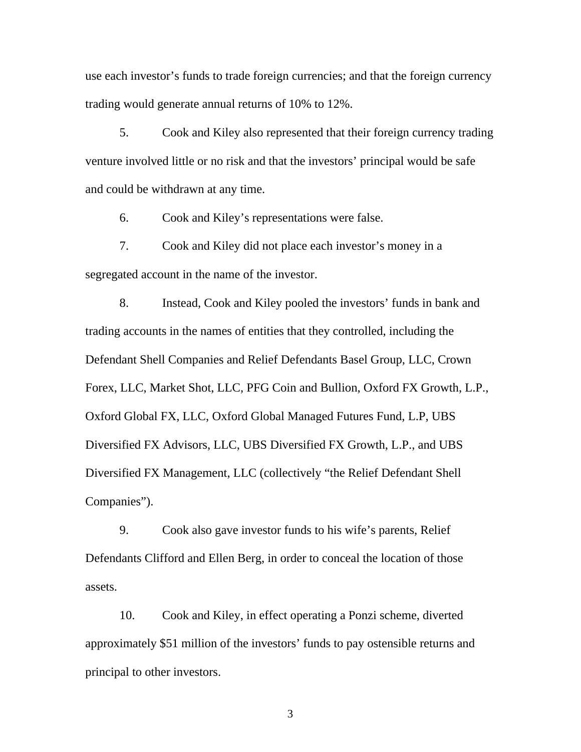use each investor's funds to trade foreign currencies; and that the foreign currency trading would generate annual returns of 10% to 12%.

5. Cook and Kiley also represented that their foreign currency trading venture involved little or no risk and that the investors' principal would be safe and could be withdrawn at any time.

6. Cook and Kiley's representations were false.

7. Cook and Kiley did not place each investor's money in a segregated account in the name of the investor.

8. Instead, Cook and Kiley pooled the investors' funds in bank and trading accounts in the names of entities that they controlled, including the Defendant Shell Companies and Relief Defendants Basel Group, LLC, Crown Forex, LLC, Market Shot, LLC, PFG Coin and Bullion, Oxford FX Growth, L.P., Oxford Global FX, LLC, Oxford Global Managed Futures Fund, L.P, UBS Diversified FX Advisors, LLC, UBS Diversified FX Growth, L.P., and UBS Diversified FX Management, LLC (collectively "the Relief Defendant Shell Companies").

9. Cook also gave investor funds to his wife's parents, Relief Defendants Clifford and Ellen Berg, in order to conceal the location of those assets.

10. Cook and Kiley, in effect operating a Ponzi scheme, diverted approximately \$51 million of the investors' funds to pay ostensible returns and principal to other investors.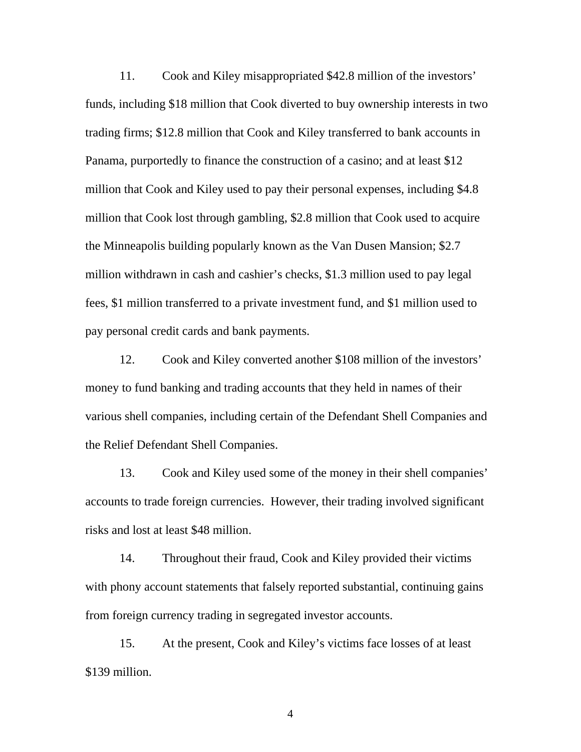11. Cook and Kiley misappropriated \$42.8 million of the investors' funds, including \$18 million that Cook diverted to buy ownership interests in two trading firms; \$12.8 million that Cook and Kiley transferred to bank accounts in Panama, purportedly to finance the construction of a casino; and at least \$12 million that Cook and Kiley used to pay their personal expenses, including \$4.8 million that Cook lost through gambling, \$2.8 million that Cook used to acquire the Minneapolis building popularly known as the Van Dusen Mansion; \$2.7 million withdrawn in cash and cashier's checks, \$1.3 million used to pay legal fees, \$1 million transferred to a private investment fund, and \$1 million used to pay personal credit cards and bank payments.

12. Cook and Kiley converted another \$108 million of the investors' money to fund banking and trading accounts that they held in names of their various shell companies, including certain of the Defendant Shell Companies and the Relief Defendant Shell Companies.

13. Cook and Kiley used some of the money in their shell companies' accounts to trade foreign currencies. However, their trading involved significant risks and lost at least \$48 million.

14. Throughout their fraud, Cook and Kiley provided their victims with phony account statements that falsely reported substantial, continuing gains from foreign currency trading in segregated investor accounts.

15. At the present, Cook and Kiley's victims face losses of at least \$139 million.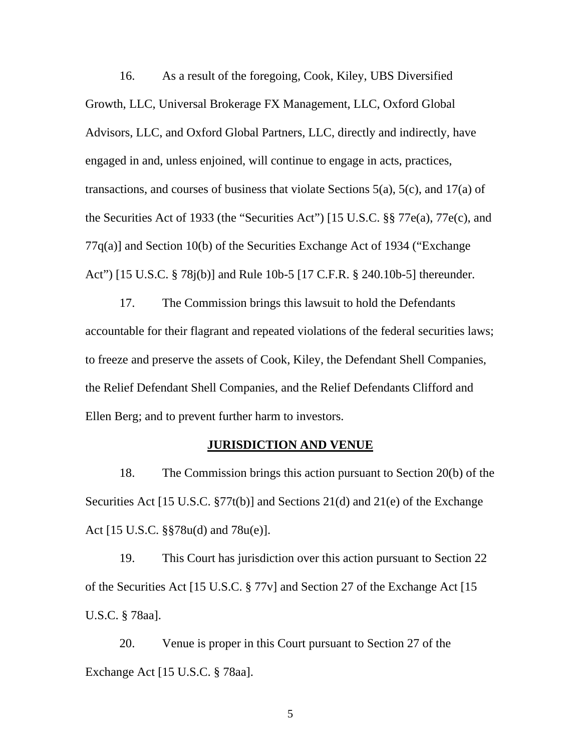16. As a result of the foregoing, Cook, Kiley, UBS Diversified Growth, LLC, Universal Brokerage FX Management, LLC, Oxford Global Advisors, LLC, and Oxford Global Partners, LLC, directly and indirectly, have engaged in and, unless enjoined, will continue to engage in acts, practices, transactions, and courses of business that violate Sections 5(a), 5(c), and 17(a) of the Securities Act of 1933 (the "Securities Act") [15 U.S.C. §§ 77e(a), 77e(c), and 77q(a)] and Section 10(b) of the Securities Exchange Act of 1934 ("Exchange Act") [15 U.S.C. § 78j(b)] and Rule 10b-5 [17 C.F.R. § 240.10b-5] thereunder.

17. The Commission brings this lawsuit to hold the Defendants accountable for their flagrant and repeated violations of the federal securities laws; to freeze and preserve the assets of Cook, Kiley, the Defendant Shell Companies, the Relief Defendant Shell Companies, and the Relief Defendants Clifford and Ellen Berg; and to prevent further harm to investors.

### **JURISDICTION AND VENUE**

18. The Commission brings this action pursuant to Section 20(b) of the Securities Act [15 U.S.C. §77t(b)] and Sections 21(d) and 21(e) of the Exchange Act [15 U.S.C. §§78u(d) and 78u(e)].

19. This Court has jurisdiction over this action pursuant to Section 22 of the Securities Act [15 U.S.C. § 77v] and Section 27 of the Exchange Act [15 U.S.C. § 78aa].

20. Venue is proper in this Court pursuant to Section 27 of the Exchange Act [15 U.S.C. § 78aa].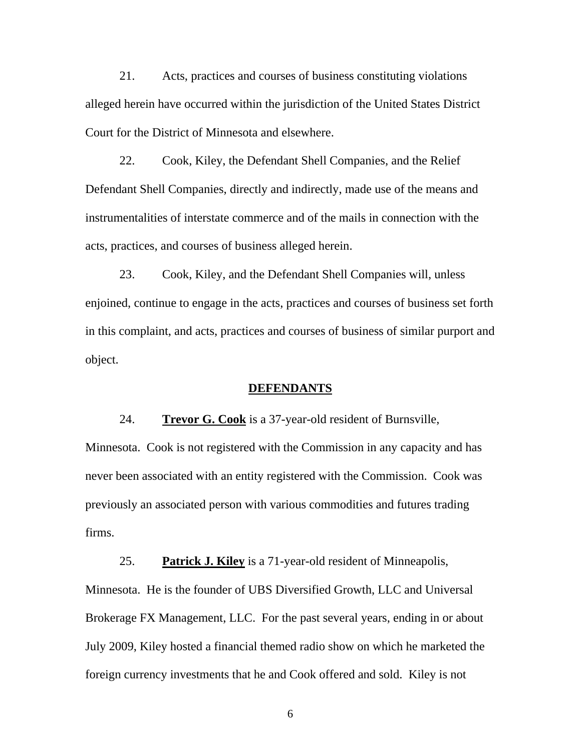21. Acts, practices and courses of business constituting violations alleged herein have occurred within the jurisdiction of the United States District Court for the District of Minnesota and elsewhere.

22. Cook, Kiley, the Defendant Shell Companies, and the Relief Defendant Shell Companies, directly and indirectly, made use of the means and instrumentalities of interstate commerce and of the mails in connection with the acts, practices, and courses of business alleged herein.

23. Cook, Kiley, and the Defendant Shell Companies will, unless enjoined, continue to engage in the acts, practices and courses of business set forth in this complaint, and acts, practices and courses of business of similar purport and object.

### **DEFENDANTS**

24. **Trevor G. Cook** is a 37-year-old resident of Burnsville,

Minnesota. Cook is not registered with the Commission in any capacity and has never been associated with an entity registered with the Commission. Cook was previously an associated person with various commodities and futures trading firms.

25. **Patrick J. Kiley** is a 71-year-old resident of Minneapolis, Minnesota. He is the founder of UBS Diversified Growth, LLC and Universal Brokerage FX Management, LLC. For the past several years, ending in or about July 2009, Kiley hosted a financial themed radio show on which he marketed the foreign currency investments that he and Cook offered and sold. Kiley is not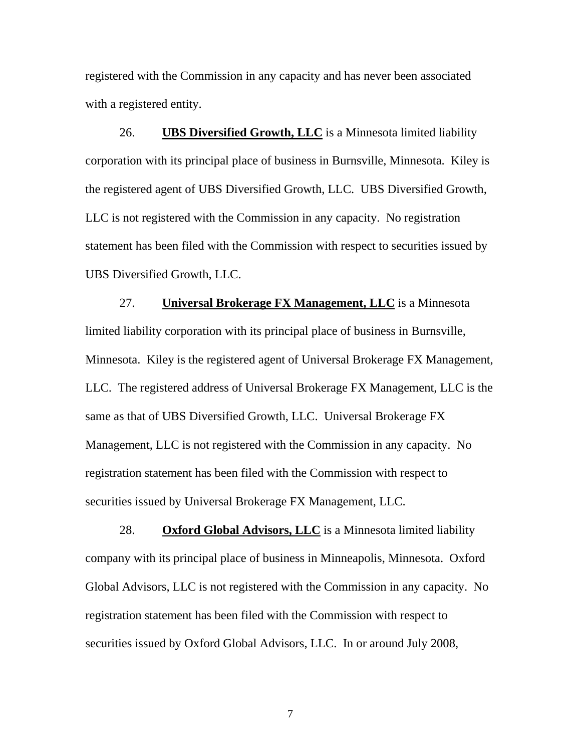registered with the Commission in any capacity and has never been associated with a registered entity.

26. **UBS Diversified Growth, LLC** is a Minnesota limited liability corporation with its principal place of business in Burnsville, Minnesota. Kiley is the registered agent of UBS Diversified Growth, LLC. UBS Diversified Growth, LLC is not registered with the Commission in any capacity. No registration statement has been filed with the Commission with respect to securities issued by UBS Diversified Growth, LLC.

27. **Universal Brokerage FX Management, LLC** is a Minnesota limited liability corporation with its principal place of business in Burnsville, Minnesota. Kiley is the registered agent of Universal Brokerage FX Management, LLC. The registered address of Universal Brokerage FX Management, LLC is the same as that of UBS Diversified Growth, LLC. Universal Brokerage FX Management, LLC is not registered with the Commission in any capacity. No registration statement has been filed with the Commission with respect to securities issued by Universal Brokerage FX Management, LLC.

28. **Oxford Global Advisors, LLC** is a Minnesota limited liability company with its principal place of business in Minneapolis, Minnesota. Oxford Global Advisors, LLC is not registered with the Commission in any capacity. No registration statement has been filed with the Commission with respect to securities issued by Oxford Global Advisors, LLC. In or around July 2008,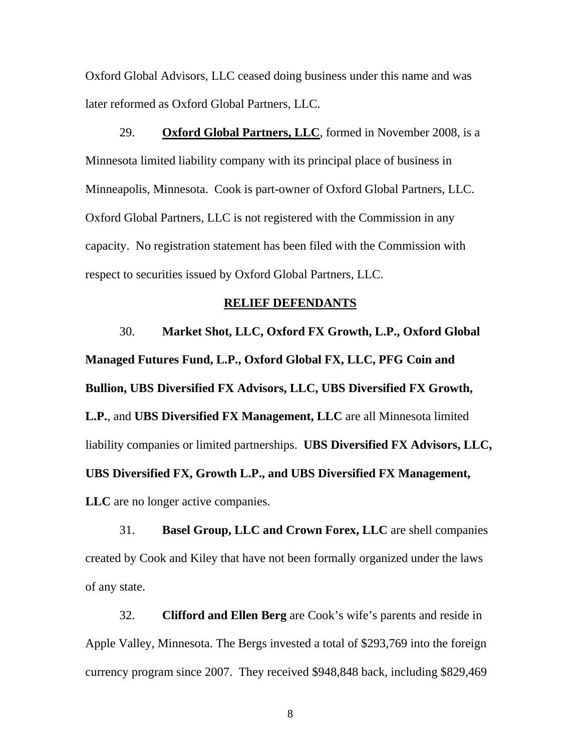Oxford Global Advisors, LLC ceased doing business under this name and was later reformed as Oxford Global Partners, LLC.

29. **Oxford Global Partners, LLC**, formed in November 2008, is a Minnesota limited liability company with its principal place of business in Minneapolis, Minnesota. Cook is part-owner of Oxford Global Partners, LLC. Oxford Global Partners, LLC is not registered with the Commission in any capacity. No registration statement has been filed with the Commission with respect to securities issued by Oxford Global Partners, LLC.

# **RELIEF DEFENDANTS**

30. **Market Shot, LLC, Oxford FX Growth, L.P., Oxford Global Managed Futures Fund, L.P., Oxford Global FX, LLC, PFG Coin and Bullion, UBS Diversified FX Advisors, LLC, UBS Diversified FX Growth, L.P.**, and **UBS Diversified FX Management, LLC** are all Minnesota limited liability companies or limited partnerships. **UBS Diversified FX Advisors, LLC, UBS Diversified FX, Growth L.P., and UBS Diversified FX Management, LLC** are no longer active companies.

31. **Basel Group, LLC and Crown Forex, LLC** are shell companies created by Cook and Kiley that have not been formally organized under the laws of any state.

32. **Clifford and Ellen Berg** are Cook's wife's parents and reside in Apple Valley, Minnesota. The Bergs invested a total of \$293,769 into the foreign currency program since 2007. They received \$948,848 back, including \$829,469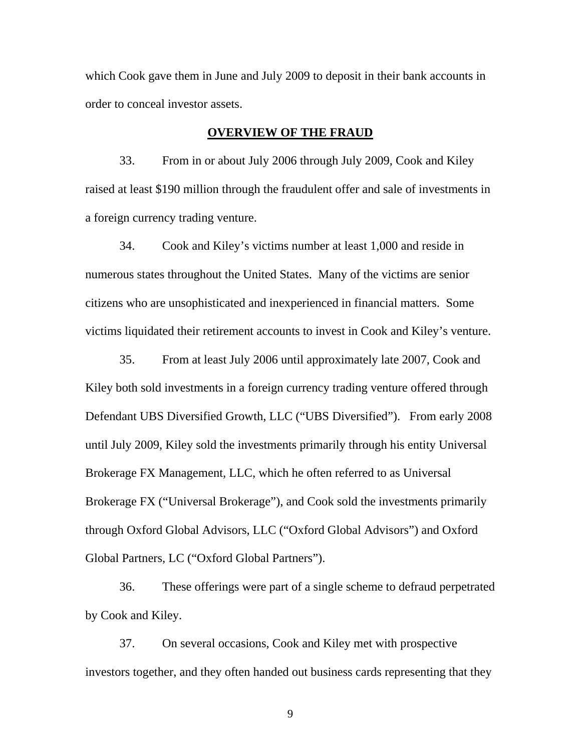which Cook gave them in June and July 2009 to deposit in their bank accounts in order to conceal investor assets.

#### **OVERVIEW OF THE FRAUD**

33. From in or about July 2006 through July 2009, Cook and Kiley raised at least \$190 million through the fraudulent offer and sale of investments in a foreign currency trading venture.

34. Cook and Kiley's victims number at least 1,000 and reside in numerous states throughout the United States. Many of the victims are senior citizens who are unsophisticated and inexperienced in financial matters. Some victims liquidated their retirement accounts to invest in Cook and Kiley's venture.

35. From at least July 2006 until approximately late 2007, Cook and Kiley both sold investments in a foreign currency trading venture offered through Defendant UBS Diversified Growth, LLC ("UBS Diversified"). From early 2008 until July 2009, Kiley sold the investments primarily through his entity Universal Brokerage FX Management, LLC, which he often referred to as Universal Brokerage FX ("Universal Brokerage"), and Cook sold the investments primarily through Oxford Global Advisors, LLC ("Oxford Global Advisors") and Oxford Global Partners, LC ("Oxford Global Partners").

36. These offerings were part of a single scheme to defraud perpetrated by Cook and Kiley.

37. On several occasions, Cook and Kiley met with prospective investors together, and they often handed out business cards representing that they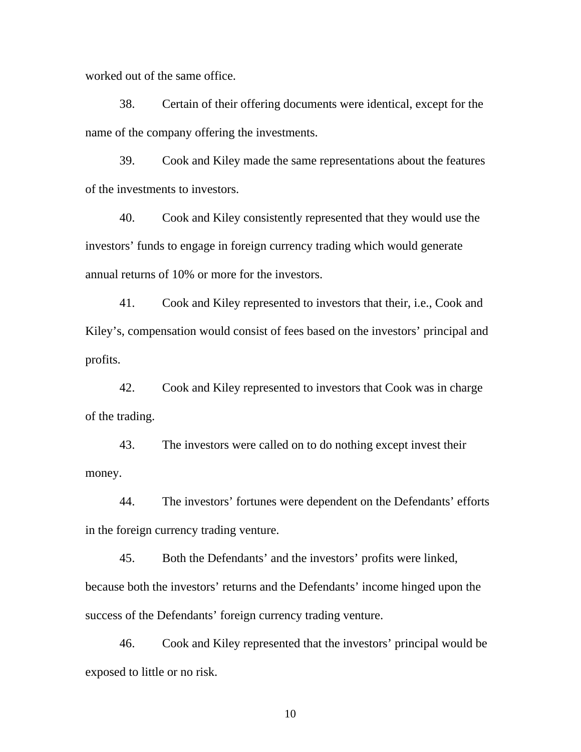worked out of the same office.

38. Certain of their offering documents were identical, except for the name of the company offering the investments.

39. Cook and Kiley made the same representations about the features of the investments to investors.

40. Cook and Kiley consistently represented that they would use the investors' funds to engage in foreign currency trading which would generate annual returns of 10% or more for the investors.

41. Cook and Kiley represented to investors that their, i.e., Cook and Kiley's, compensation would consist of fees based on the investors' principal and profits.

42. Cook and Kiley represented to investors that Cook was in charge of the trading.

43. The investors were called on to do nothing except invest their money.

44. The investors' fortunes were dependent on the Defendants' efforts in the foreign currency trading venture.

45. Both the Defendants' and the investors' profits were linked, because both the investors' returns and the Defendants' income hinged upon the success of the Defendants' foreign currency trading venture.

46. Cook and Kiley represented that the investors' principal would be exposed to little or no risk.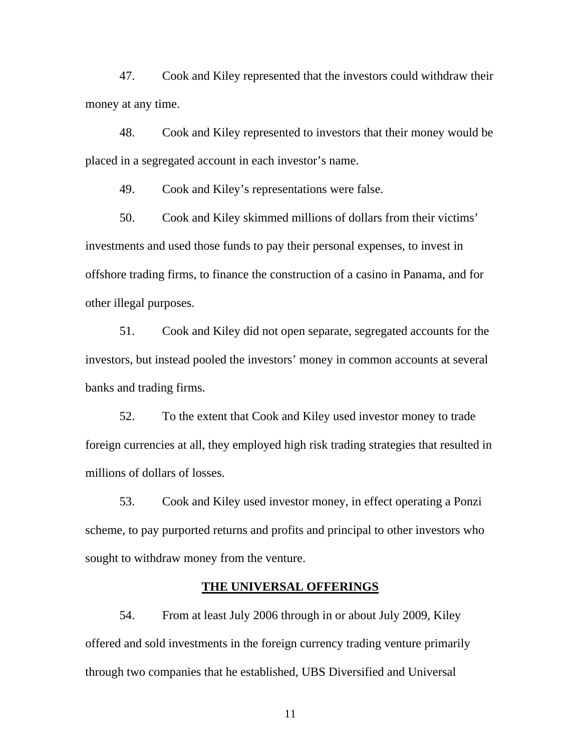47. Cook and Kiley represented that the investors could withdraw their money at any time.

48. Cook and Kiley represented to investors that their money would be placed in a segregated account in each investor's name.

49. Cook and Kiley's representations were false.

50. Cook and Kiley skimmed millions of dollars from their victims' investments and used those funds to pay their personal expenses, to invest in offshore trading firms, to finance the construction of a casino in Panama, and for other illegal purposes.

51. Cook and Kiley did not open separate, segregated accounts for the investors, but instead pooled the investors' money in common accounts at several banks and trading firms.

52. To the extent that Cook and Kiley used investor money to trade foreign currencies at all, they employed high risk trading strategies that resulted in millions of dollars of losses.

53. Cook and Kiley used investor money, in effect operating a Ponzi scheme, to pay purported returns and profits and principal to other investors who sought to withdraw money from the venture.

### **THE UNIVERSAL OFFERINGS**

54. From at least July 2006 through in or about July 2009, Kiley offered and sold investments in the foreign currency trading venture primarily through two companies that he established, UBS Diversified and Universal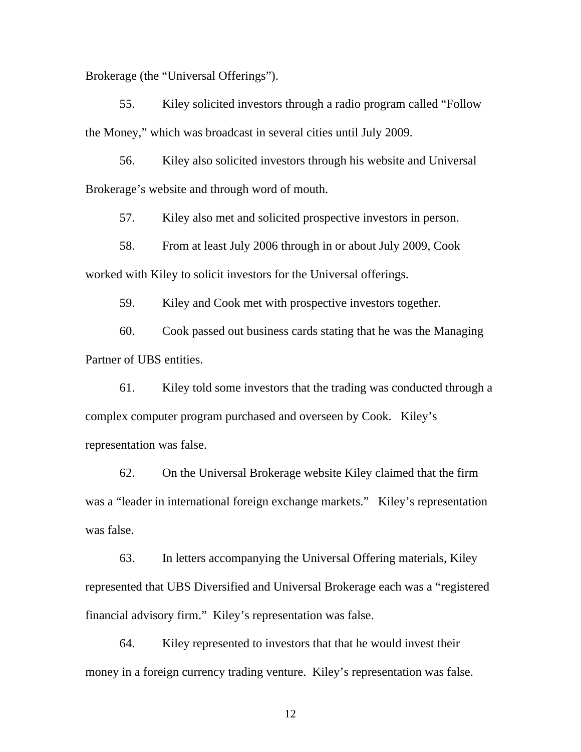Brokerage (the "Universal Offerings").

55. Kiley solicited investors through a radio program called "Follow the Money," which was broadcast in several cities until July 2009.

56. Kiley also solicited investors through his website and Universal Brokerage's website and through word of mouth.

57. Kiley also met and solicited prospective investors in person.

58. From at least July 2006 through in or about July 2009, Cook worked with Kiley to solicit investors for the Universal offerings.

59. Kiley and Cook met with prospective investors together.

60. Cook passed out business cards stating that he was the Managing Partner of UBS entities.

61. Kiley told some investors that the trading was conducted through a complex computer program purchased and overseen by Cook. Kiley's representation was false.

62. On the Universal Brokerage website Kiley claimed that the firm was a "leader in international foreign exchange markets." Kiley's representation was false.

63. In letters accompanying the Universal Offering materials, Kiley represented that UBS Diversified and Universal Brokerage each was a "registered financial advisory firm." Kiley's representation was false.

64. Kiley represented to investors that that he would invest their money in a foreign currency trading venture. Kiley's representation was false.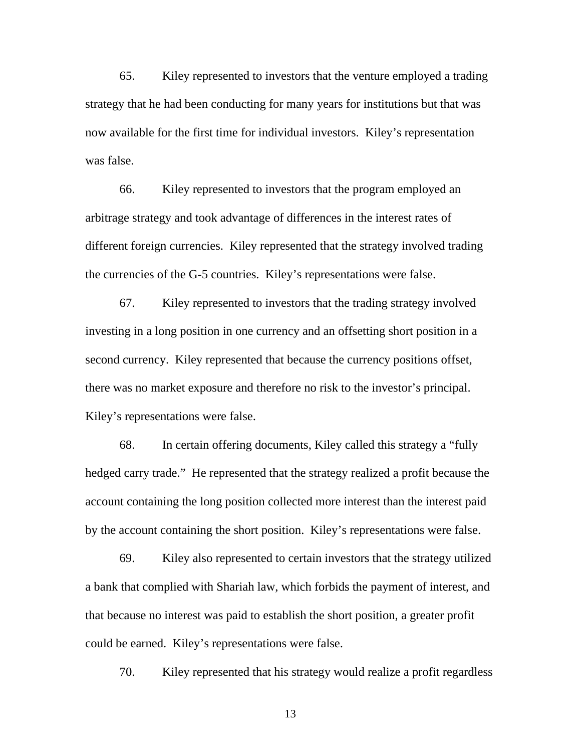65. Kiley represented to investors that the venture employed a trading strategy that he had been conducting for many years for institutions but that was now available for the first time for individual investors. Kiley's representation was false.

66. Kiley represented to investors that the program employed an arbitrage strategy and took advantage of differences in the interest rates of different foreign currencies. Kiley represented that the strategy involved trading the currencies of the G-5 countries. Kiley's representations were false.

67. Kiley represented to investors that the trading strategy involved investing in a long position in one currency and an offsetting short position in a second currency. Kiley represented that because the currency positions offset, there was no market exposure and therefore no risk to the investor's principal. Kiley's representations were false.

68. In certain offering documents, Kiley called this strategy a "fully hedged carry trade." He represented that the strategy realized a profit because the account containing the long position collected more interest than the interest paid by the account containing the short position. Kiley's representations were false.

69. Kiley also represented to certain investors that the strategy utilized a bank that complied with Shariah law, which forbids the payment of interest, and that because no interest was paid to establish the short position, a greater profit could be earned. Kiley's representations were false.

70. Kiley represented that his strategy would realize a profit regardless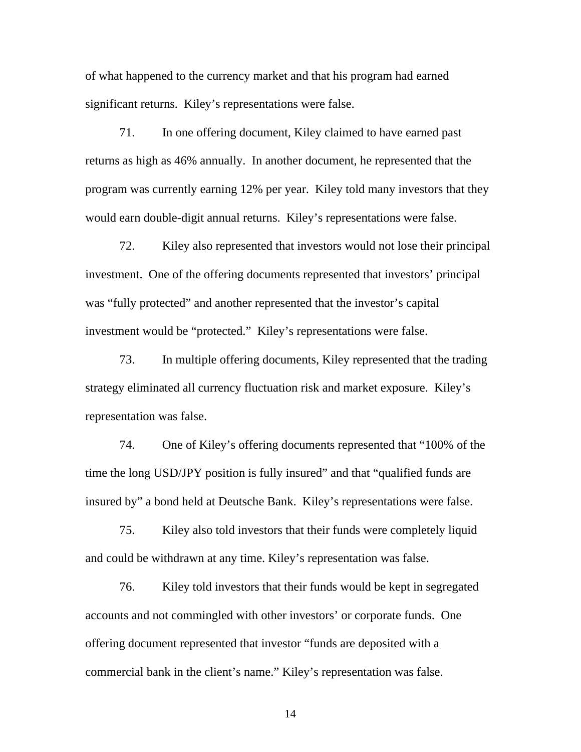of what happened to the currency market and that his program had earned significant returns. Kiley's representations were false.

71. In one offering document, Kiley claimed to have earned past returns as high as 46% annually. In another document, he represented that the program was currently earning 12% per year. Kiley told many investors that they would earn double-digit annual returns. Kiley's representations were false.

72. Kiley also represented that investors would not lose their principal investment. One of the offering documents represented that investors' principal was "fully protected" and another represented that the investor's capital investment would be "protected." Kiley's representations were false.

73. In multiple offering documents, Kiley represented that the trading strategy eliminated all currency fluctuation risk and market exposure. Kiley's representation was false.

74. One of Kiley's offering documents represented that "100% of the time the long USD/JPY position is fully insured" and that "qualified funds are insured by" a bond held at Deutsche Bank. Kiley's representations were false.

75. Kiley also told investors that their funds were completely liquid and could be withdrawn at any time. Kiley's representation was false.

76. Kiley told investors that their funds would be kept in segregated accounts and not commingled with other investors' or corporate funds. One offering document represented that investor "funds are deposited with a commercial bank in the client's name." Kiley's representation was false.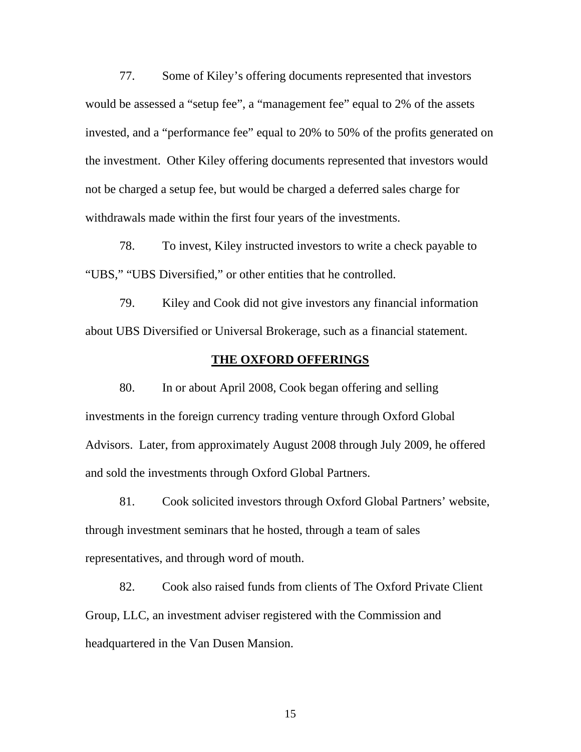77. Some of Kiley's offering documents represented that investors would be assessed a "setup fee", a "management fee" equal to 2% of the assets invested, and a "performance fee" equal to 20% to 50% of the profits generated on the investment. Other Kiley offering documents represented that investors would not be charged a setup fee, but would be charged a deferred sales charge for withdrawals made within the first four years of the investments.

78. To invest, Kiley instructed investors to write a check payable to "UBS," "UBS Diversified," or other entities that he controlled.

79. Kiley and Cook did not give investors any financial information about UBS Diversified or Universal Brokerage, such as a financial statement.

## **THE OXFORD OFFERINGS**

80. In or about April 2008, Cook began offering and selling investments in the foreign currency trading venture through Oxford Global Advisors. Later, from approximately August 2008 through July 2009, he offered and sold the investments through Oxford Global Partners.

81. Cook solicited investors through Oxford Global Partners' website, through investment seminars that he hosted, through a team of sales representatives, and through word of mouth.

82. Cook also raised funds from clients of The Oxford Private Client Group, LLC, an investment adviser registered with the Commission and headquartered in the Van Dusen Mansion.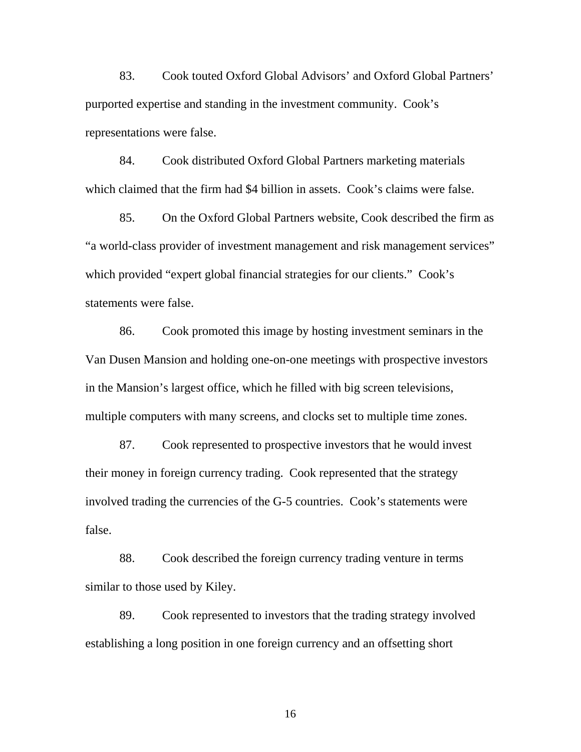83. Cook touted Oxford Global Advisors' and Oxford Global Partners' purported expertise and standing in the investment community. Cook's representations were false.

84. Cook distributed Oxford Global Partners marketing materials which claimed that the firm had \$4 billion in assets. Cook's claims were false.

85. On the Oxford Global Partners website, Cook described the firm as "a world-class provider of investment management and risk management services" which provided "expert global financial strategies for our clients." Cook's statements were false.

86. Cook promoted this image by hosting investment seminars in the Van Dusen Mansion and holding one-on-one meetings with prospective investors in the Mansion's largest office, which he filled with big screen televisions, multiple computers with many screens, and clocks set to multiple time zones.

87. Cook represented to prospective investors that he would invest their money in foreign currency trading. Cook represented that the strategy involved trading the currencies of the G-5 countries. Cook's statements were false.

88. Cook described the foreign currency trading venture in terms similar to those used by Kiley.

89. Cook represented to investors that the trading strategy involved establishing a long position in one foreign currency and an offsetting short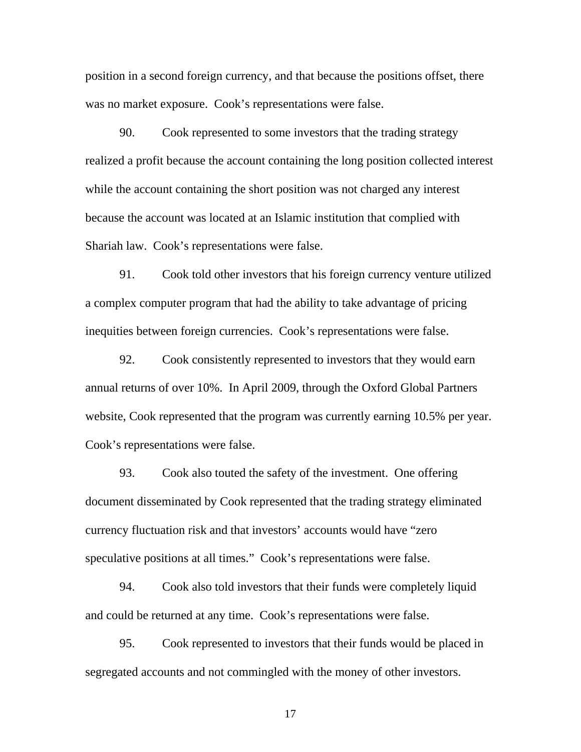position in a second foreign currency, and that because the positions offset, there was no market exposure. Cook's representations were false.

90. Cook represented to some investors that the trading strategy realized a profit because the account containing the long position collected interest while the account containing the short position was not charged any interest because the account was located at an Islamic institution that complied with Shariah law. Cook's representations were false.

91. Cook told other investors that his foreign currency venture utilized a complex computer program that had the ability to take advantage of pricing inequities between foreign currencies. Cook's representations were false.

92. Cook consistently represented to investors that they would earn annual returns of over 10%. In April 2009, through the Oxford Global Partners website, Cook represented that the program was currently earning 10.5% per year. Cook's representations were false.

93. Cook also touted the safety of the investment. One offering document disseminated by Cook represented that the trading strategy eliminated currency fluctuation risk and that investors' accounts would have "zero speculative positions at all times." Cook's representations were false.

94. Cook also told investors that their funds were completely liquid and could be returned at any time. Cook's representations were false.

95. Cook represented to investors that their funds would be placed in segregated accounts and not commingled with the money of other investors.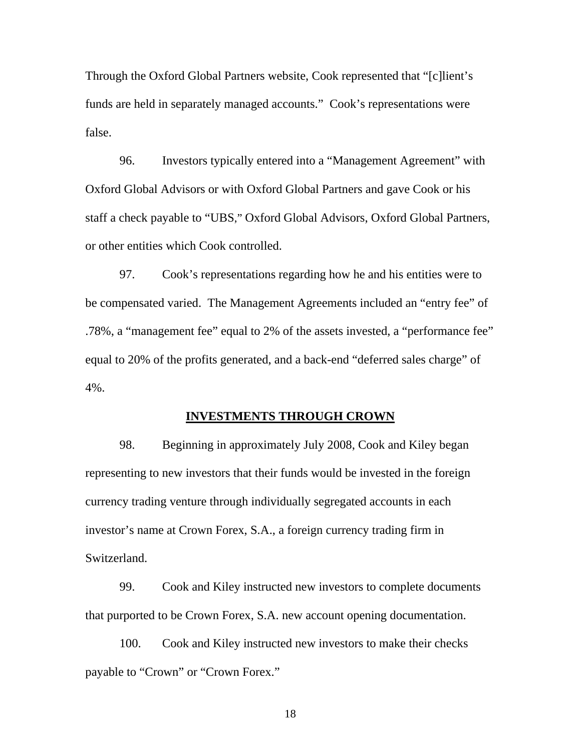Through the Oxford Global Partners website, Cook represented that "[c]lient's funds are held in separately managed accounts." Cook's representations were false.

96. Investors typically entered into a "Management Agreement" with Oxford Global Advisors or with Oxford Global Partners and gave Cook or his staff a check payable to "UBS," Oxford Global Advisors, Oxford Global Partners, or other entities which Cook controlled.

97. Cook's representations regarding how he and his entities were to be compensated varied. The Management Agreements included an "entry fee" of .78%, a "management fee" equal to 2% of the assets invested, a "performance fee" equal to 20% of the profits generated, and a back-end "deferred sales charge" of 4%.

#### **INVESTMENTS THROUGH CROWN**

98. Beginning in approximately July 2008, Cook and Kiley began representing to new investors that their funds would be invested in the foreign currency trading venture through individually segregated accounts in each investor's name at Crown Forex, S.A., a foreign currency trading firm in Switzerland.

99. Cook and Kiley instructed new investors to complete documents that purported to be Crown Forex, S.A. new account opening documentation.

100. Cook and Kiley instructed new investors to make their checks payable to "Crown" or "Crown Forex."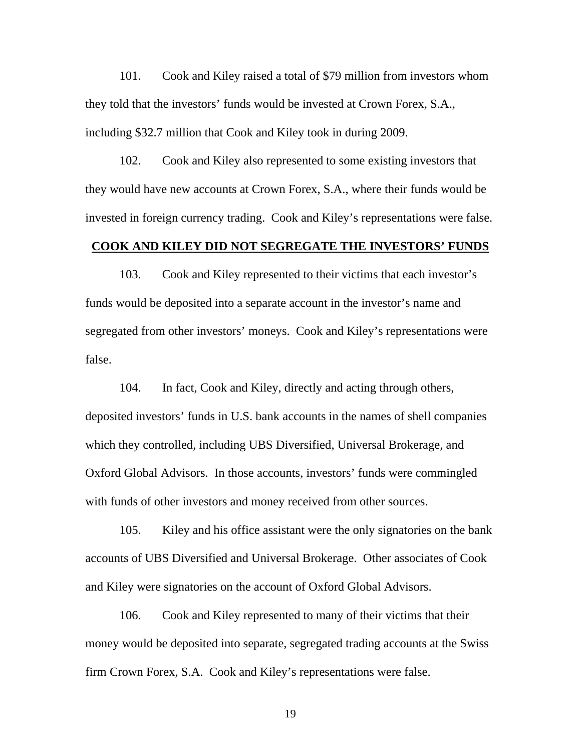101. Cook and Kiley raised a total of \$79 million from investors whom they told that the investors' funds would be invested at Crown Forex, S.A., including \$32.7 million that Cook and Kiley took in during 2009.

102. Cook and Kiley also represented to some existing investors that they would have new accounts at Crown Forex, S.A., where their funds would be invested in foreign currency trading. Cook and Kiley's representations were false.

# **COOK AND KILEY DID NOT SEGREGATE THE INVESTORS' FUNDS**

103. Cook and Kiley represented to their victims that each investor's funds would be deposited into a separate account in the investor's name and segregated from other investors' moneys. Cook and Kiley's representations were false.

104. In fact, Cook and Kiley, directly and acting through others, deposited investors' funds in U.S. bank accounts in the names of shell companies which they controlled, including UBS Diversified, Universal Brokerage, and Oxford Global Advisors. In those accounts, investors' funds were commingled with funds of other investors and money received from other sources.

105. Kiley and his office assistant were the only signatories on the bank accounts of UBS Diversified and Universal Brokerage. Other associates of Cook and Kiley were signatories on the account of Oxford Global Advisors.

106. Cook and Kiley represented to many of their victims that their money would be deposited into separate, segregated trading accounts at the Swiss firm Crown Forex, S.A. Cook and Kiley's representations were false.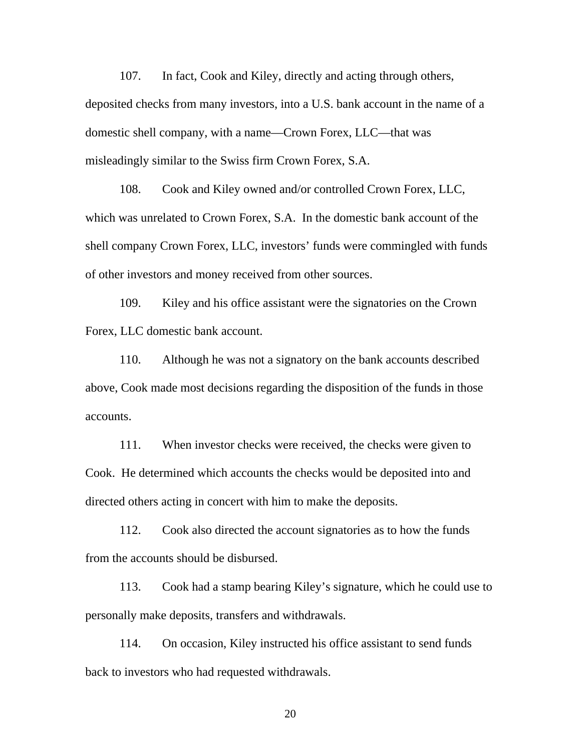misleadingly similar to the Swiss firm Crown Forex, S.A. 107. In fact, Cook and Kiley, directly and acting through others, deposited checks from many investors, into a U.S. bank account in the name of a domestic shell company, with a name—Crown Forex, LLC—that was

108. Cook and Kiley owned and/or controlled Crown Forex, LLC, which was unrelated to Crown Forex, S.A. In the domestic bank account of the shell company Crown Forex, LLC, investors' funds were commingled with funds of other investors and money received from other sources.

109. Kiley and his office assistant were the signatories on the Crown Forex, LLC domestic bank account.

110. Although he was not a signatory on the bank accounts described above, Cook made most decisions regarding the disposition of the funds in those accounts.

111. When investor checks were received, the checks were given to Cook. He determined which accounts the checks would be deposited into and directed others acting in concert with him to make the deposits.

112. Cook also directed the account signatories as to how the funds from the accounts should be disbursed.

113. Cook had a stamp bearing Kiley's signature, which he could use to personally make deposits, transfers and withdrawals.

114. On occasion, Kiley instructed his office assistant to send funds back to investors who had requested withdrawals.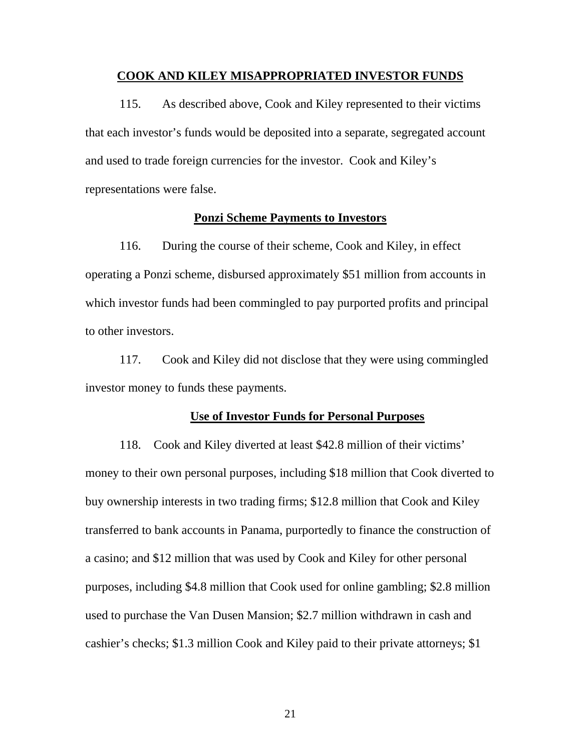#### **COOK AND KILEY MISAPPROPRIATED INVESTOR FUNDS**

115. As described above, Cook and Kiley represented to their victims that each investor's funds would be deposited into a separate, segregated account and used to trade foreign currencies for the investor. Cook and Kiley's representations were false.

#### **Ponzi Scheme Payments to Investors**

116. During the course of their scheme, Cook and Kiley, in effect operating a Ponzi scheme, disbursed approximately \$51 million from accounts in which investor funds had been commingled to pay purported profits and principal to other investors.

117. Cook and Kiley did not disclose that they were using commingled investor money to funds these payments.

#### **Use of Investor Funds for Personal Purposes**

118. Cook and Kiley diverted at least \$42.8 million of their victims' money to their own personal purposes, including \$18 million that Cook diverted to buy ownership interests in two trading firms; \$12.8 million that Cook and Kiley transferred to bank accounts in Panama, purportedly to finance the construction of a casino; and \$12 million that was used by Cook and Kiley for other personal purposes, including \$4.8 million that Cook used for online gambling; \$2.8 million used to purchase the Van Dusen Mansion; \$2.7 million withdrawn in cash and cashier's checks; \$1.3 million Cook and Kiley paid to their private attorneys; \$1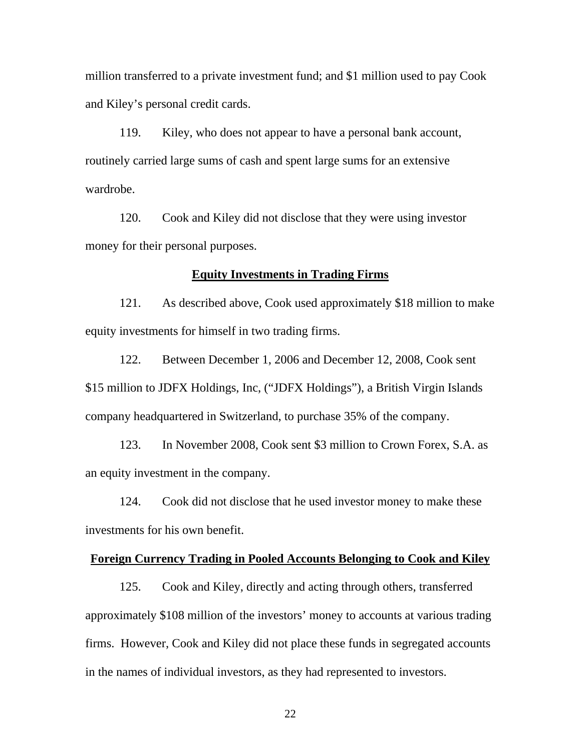million transferred to a private investment fund; and \$1 million used to pay Cook and Kiley's personal credit cards.

119. Kiley, who does not appear to have a personal bank account, routinely carried large sums of cash and spent large sums for an extensive wardrobe.

120. Cook and Kiley did not disclose that they were using investor money for their personal purposes.

### **Equity Investments in Trading Firms**

121. As described above, Cook used approximately \$18 million to make equity investments for himself in two trading firms.

122. Between December 1, 2006 and December 12, 2008, Cook sent \$15 million to JDFX Holdings, Inc, ("JDFX Holdings"), a British Virgin Islands company headquartered in Switzerland, to purchase 35% of the company.

123. In November 2008, Cook sent \$3 million to Crown Forex, S.A. as an equity investment in the company.

124. Cook did not disclose that he used investor money to make these investments for his own benefit.

## **Foreign Currency Trading in Pooled Accounts Belonging to Cook and Kiley**

125. Cook and Kiley, directly and acting through others, transferred approximately \$108 million of the investors' money to accounts at various trading firms. However, Cook and Kiley did not place these funds in segregated accounts in the names of individual investors, as they had represented to investors.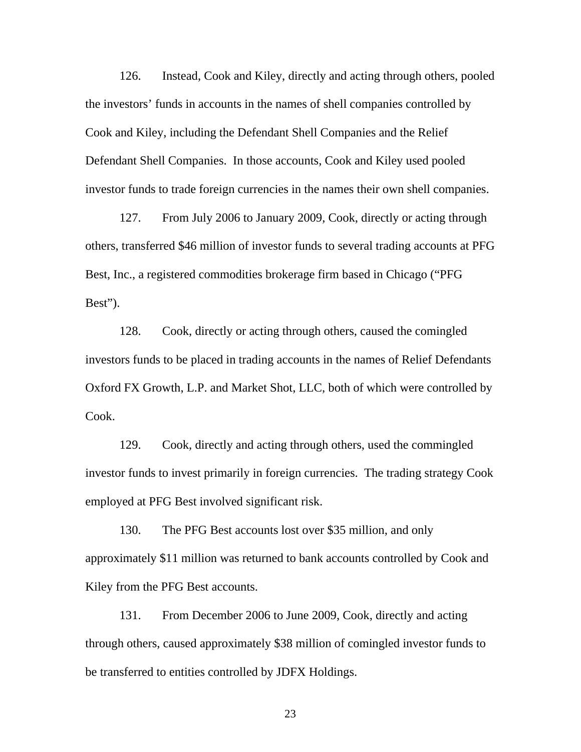126. Instead, Cook and Kiley, directly and acting through others, pooled the investors' funds in accounts in the names of shell companies controlled by Cook and Kiley, including the Defendant Shell Companies and the Relief Defendant Shell Companies. In those accounts, Cook and Kiley used pooled investor funds to trade foreign currencies in the names their own shell companies.

127. From July 2006 to January 2009, Cook, directly or acting through others, transferred \$46 million of investor funds to several trading accounts at PFG Best, Inc., a registered commodities brokerage firm based in Chicago ("PFG Best").

128. Cook, directly or acting through others, caused the comingled investors funds to be placed in trading accounts in the names of Relief Defendants Oxford FX Growth, L.P. and Market Shot, LLC, both of which were controlled by Cook.

129. Cook, directly and acting through others, used the commingled investor funds to invest primarily in foreign currencies. The trading strategy Cook employed at PFG Best involved significant risk.

130. The PFG Best accounts lost over \$35 million, and only approximately \$11 million was returned to bank accounts controlled by Cook and Kiley from the PFG Best accounts.

131. From December 2006 to June 2009, Cook, directly and acting through others, caused approximately \$38 million of comingled investor funds to be transferred to entities controlled by JDFX Holdings.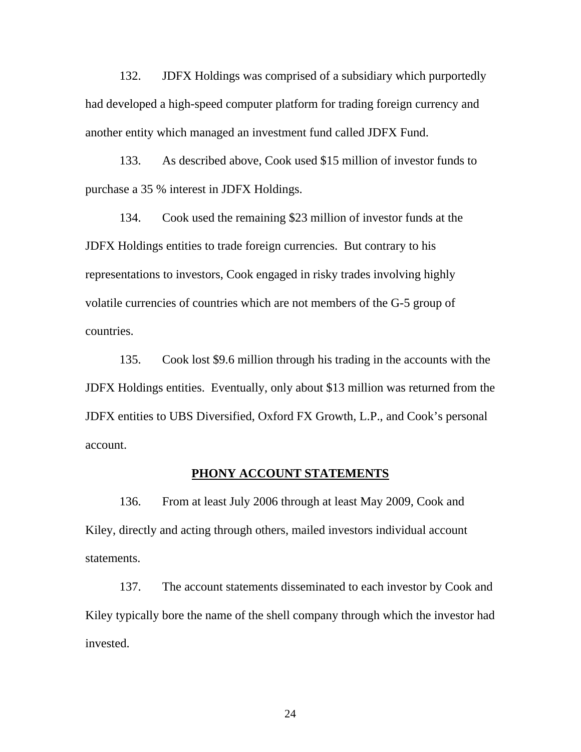132. JDFX Holdings was comprised of a subsidiary which purportedly had developed a high-speed computer platform for trading foreign currency and another entity which managed an investment fund called JDFX Fund.

133. As described above, Cook used \$15 million of investor funds to purchase a 35 % interest in JDFX Holdings.

134. Cook used the remaining \$23 million of investor funds at the JDFX Holdings entities to trade foreign currencies. But contrary to his representations to investors, Cook engaged in risky trades involving highly volatile currencies of countries which are not members of the G-5 group of countries.

135. Cook lost \$9.6 million through his trading in the accounts with the JDFX Holdings entities. Eventually, only about \$13 million was returned from the JDFX entities to UBS Diversified, Oxford FX Growth, L.P., and Cook's personal account.

### **PHONY ACCOUNT STATEMENTS**

136. From at least July 2006 through at least May 2009, Cook and Kiley, directly and acting through others, mailed investors individual account statements.

137. The account statements disseminated to each investor by Cook and Kiley typically bore the name of the shell company through which the investor had invested.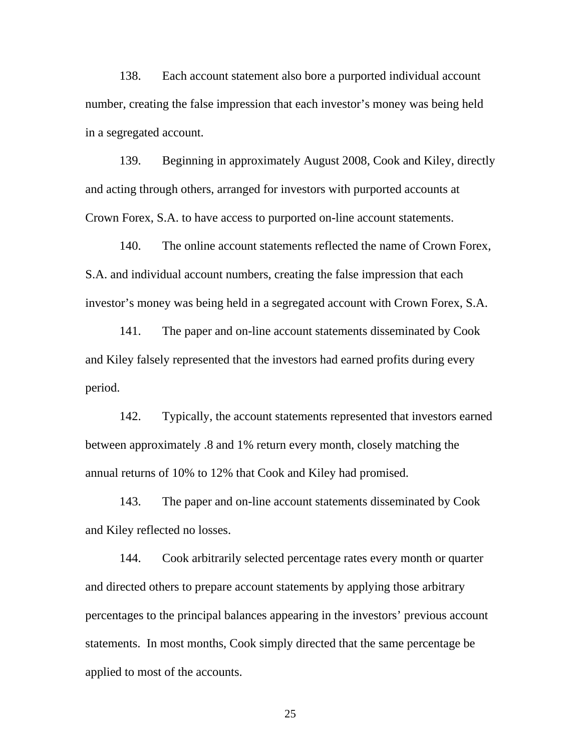138. Each account statement also bore a purported individual account number, creating the false impression that each investor's money was being held in a segregated account.

139. Beginning in approximately August 2008, Cook and Kiley, directly and acting through others, arranged for investors with purported accounts at Crown Forex, S.A. to have access to purported on-line account statements.

140. The online account statements reflected the name of Crown Forex, S.A. and individual account numbers, creating the false impression that each investor's money was being held in a segregated account with Crown Forex, S.A.

141. The paper and on-line account statements disseminated by Cook and Kiley falsely represented that the investors had earned profits during every period.

142. Typically, the account statements represented that investors earned between approximately .8 and 1% return every month, closely matching the annual returns of 10% to 12% that Cook and Kiley had promised.

143. The paper and on-line account statements disseminated by Cook and Kiley reflected no losses.

144. Cook arbitrarily selected percentage rates every month or quarter and directed others to prepare account statements by applying those arbitrary percentages to the principal balances appearing in the investors' previous account statements. In most months, Cook simply directed that the same percentage be applied to most of the accounts.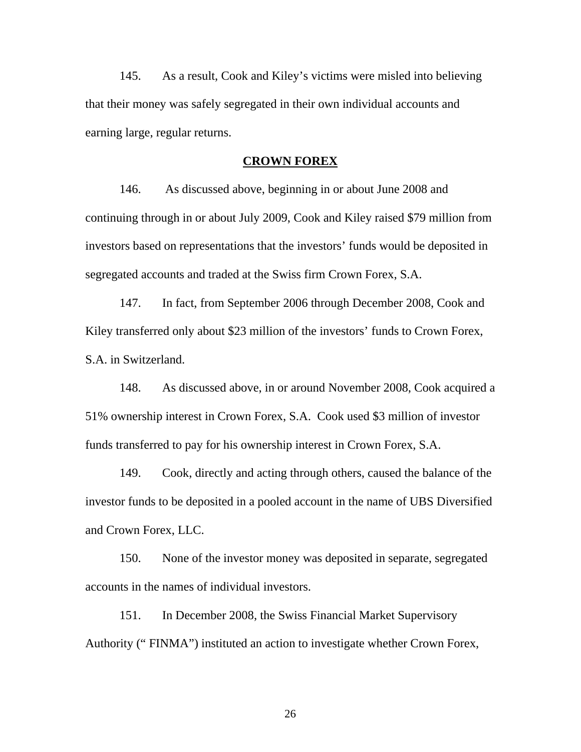145. As a result, Cook and Kiley's victims were misled into believing that their money was safely segregated in their own individual accounts and earning large, regular returns.

#### **CROWN FOREX**

146. As discussed above, beginning in or about June 2008 and continuing through in or about July 2009, Cook and Kiley raised \$79 million from investors based on representations that the investors' funds would be deposited in segregated accounts and traded at the Swiss firm Crown Forex, S.A.

147. In fact, from September 2006 through December 2008, Cook and Kiley transferred only about \$23 million of the investors' funds to Crown Forex, S.A. in Switzerland.

148. As discussed above, in or around November 2008, Cook acquired a 51% ownership interest in Crown Forex, S.A. Cook used \$3 million of investor funds transferred to pay for his ownership interest in Crown Forex, S.A.

and Crown Forex, LLC. 149. Cook, directly and acting through others, caused the balance of the investor funds to be deposited in a pooled account in the name of UBS Diversified

150. None of the investor money was deposited in separate, segregated accounts in the names of individual investors.

151. In December 2008, the Swiss Financial Market Supervisory Authority (" FINMA") instituted an action to investigate whether Crown Forex,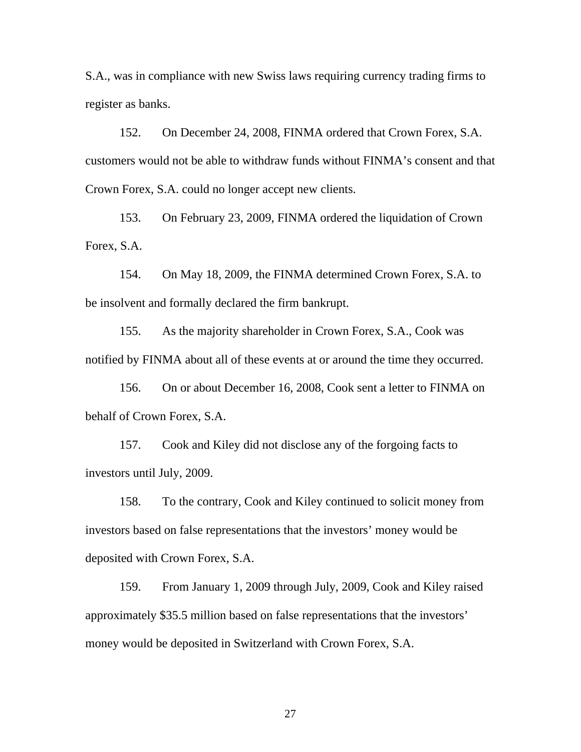S.A., was in compliance with new Swiss laws requiring currency trading firms to register as banks.

152. On December 24, 2008, FINMA ordered that Crown Forex, S.A. customers would not be able to withdraw funds without FINMA's consent and that Crown Forex, S.A. could no longer accept new clients.

153. On February 23, 2009, FINMA ordered the liquidation of Crown Forex, S.A.

154. On May 18, 2009, the FINMA determined Crown Forex, S.A. to be insolvent and formally declared the firm bankrupt.

155. As the majority shareholder in Crown Forex, S.A., Cook was notified by FINMA about all of these events at or around the time they occurred.

156. On or about December 16, 2008, Cook sent a letter to FINMA on behalf of Crown Forex, S.A.

157. Cook and Kiley did not disclose any of the forgoing facts to investors until July, 2009.

158. To the contrary, Cook and Kiley continued to solicit money from investors based on false representations that the investors' money would be deposited with Crown Forex, S.A.

159. From January 1, 2009 through July, 2009, Cook and Kiley raised approximately \$35.5 million based on false representations that the investors' money would be deposited in Switzerland with Crown Forex, S.A.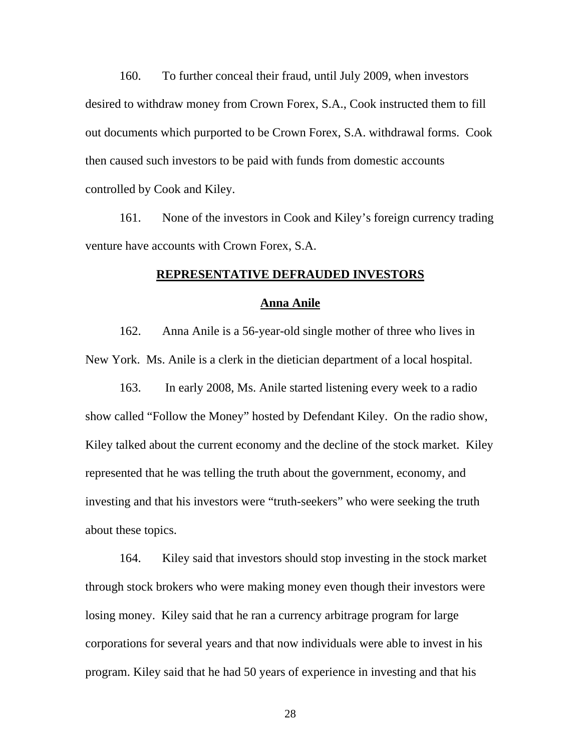160. To further conceal their fraud, until July 2009, when investors desired to withdraw money from Crown Forex, S.A., Cook instructed them to fill out documents which purported to be Crown Forex, S.A. withdrawal forms. Cook then caused such investors to be paid with funds from domestic accounts controlled by Cook and Kiley.

161. None of the investors in Cook and Kiley's foreign currency trading venture have accounts with Crown Forex, S.A.

#### **REPRESENTATIVE DEFRAUDED INVESTORS**

#### **Anna Anile**

162. Anna Anile is a 56-year-old single mother of three who lives in New York. Ms. Anile is a clerk in the dietician department of a local hospital.

163. In early 2008, Ms. Anile started listening every week to a radio show called "Follow the Money" hosted by Defendant Kiley. On the radio show, Kiley talked about the current economy and the decline of the stock market. Kiley represented that he was telling the truth about the government, economy, and investing and that his investors were "truth-seekers" who were seeking the truth about these topics.

164. Kiley said that investors should stop investing in the stock market through stock brokers who were making money even though their investors were losing money. Kiley said that he ran a currency arbitrage program for large corporations for several years and that now individuals were able to invest in his program. Kiley said that he had 50 years of experience in investing and that his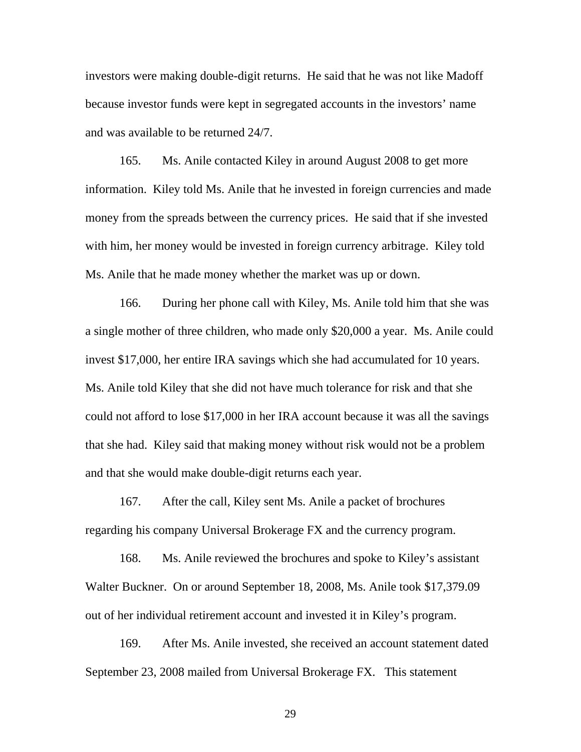investors were making double-digit returns. He said that he was not like Madoff because investor funds were kept in segregated accounts in the investors' name and was available to be returned 24/7.

165. Ms. Anile contacted Kiley in around August 2008 to get more information. Kiley told Ms. Anile that he invested in foreign currencies and made money from the spreads between the currency prices. He said that if she invested with him, her money would be invested in foreign currency arbitrage. Kiley told Ms. Anile that he made money whether the market was up or down.

166. During her phone call with Kiley, Ms. Anile told him that she was a single mother of three children, who made only \$20,000 a year. Ms. Anile could invest \$17,000, her entire IRA savings which she had accumulated for 10 years. Ms. Anile told Kiley that she did not have much tolerance for risk and that she could not afford to lose \$17,000 in her IRA account because it was all the savings that she had. Kiley said that making money without risk would not be a problem and that she would make double-digit returns each year.

167. After the call, Kiley sent Ms. Anile a packet of brochures regarding his company Universal Brokerage FX and the currency program.

168. Ms. Anile reviewed the brochures and spoke to Kiley's assistant Walter Buckner. On or around September 18, 2008, Ms. Anile took \$17,379.09 out of her individual retirement account and invested it in Kiley's program.

169. After Ms. Anile invested, she received an account statement dated September 23, 2008 mailed from Universal Brokerage FX. This statement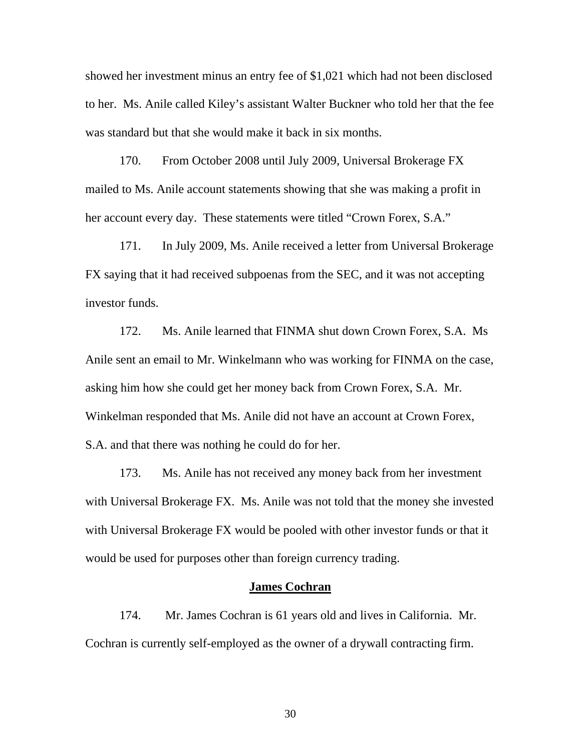showed her investment minus an entry fee of \$1,021 which had not been disclosed to her. Ms. Anile called Kiley's assistant Walter Buckner who told her that the fee was standard but that she would make it back in six months.

170. From October 2008 until July 2009, Universal Brokerage FX mailed to Ms. Anile account statements showing that she was making a profit in her account every day. These statements were titled "Crown Forex, S.A."

171. In July 2009, Ms. Anile received a letter from Universal Brokerage FX saying that it had received subpoenas from the SEC, and it was not accepting investor funds.

172. Ms. Anile learned that FINMA shut down Crown Forex, S.A. Ms Anile sent an email to Mr. Winkelmann who was working for FINMA on the case, asking him how she could get her money back from Crown Forex, S.A. Mr. Winkelman responded that Ms. Anile did not have an account at Crown Forex, S.A. and that there was nothing he could do for her.

173. Ms. Anile has not received any money back from her investment with Universal Brokerage FX. Ms. Anile was not told that the money she invested with Universal Brokerage FX would be pooled with other investor funds or that it would be used for purposes other than foreign currency trading.

## **James Cochran**

174. Mr. James Cochran is 61 years old and lives in California. Mr. Cochran is currently self-employed as the owner of a drywall contracting firm.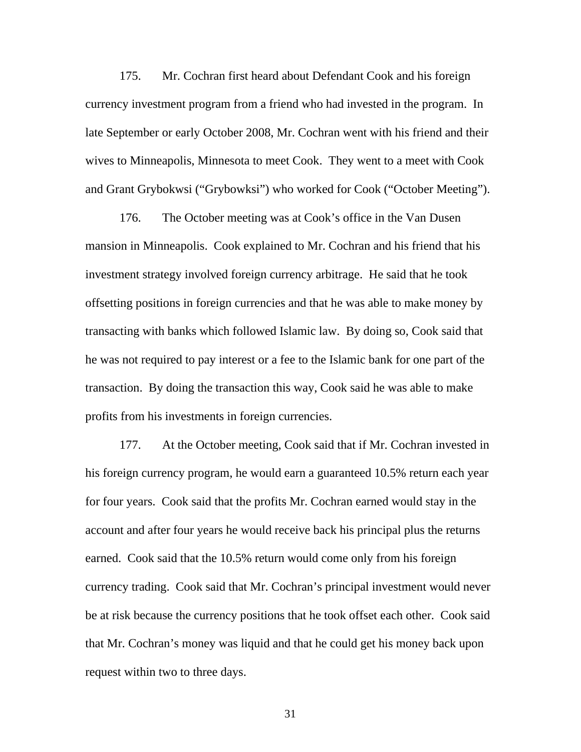175. Mr. Cochran first heard about Defendant Cook and his foreign currency investment program from a friend who had invested in the program. In late September or early October 2008, Mr. Cochran went with his friend and their wives to Minneapolis, Minnesota to meet Cook. They went to a meet with Cook and Grant Grybokwsi ("Grybowksi") who worked for Cook ("October Meeting").

176. The October meeting was at Cook's office in the Van Dusen mansion in Minneapolis. Cook explained to Mr. Cochran and his friend that his investment strategy involved foreign currency arbitrage. He said that he took offsetting positions in foreign currencies and that he was able to make money by transacting with banks which followed Islamic law. By doing so, Cook said that he was not required to pay interest or a fee to the Islamic bank for one part of the transaction. By doing the transaction this way, Cook said he was able to make profits from his investments in foreign currencies.

177. At the October meeting, Cook said that if Mr. Cochran invested in his foreign currency program, he would earn a guaranteed 10.5% return each year for four years. Cook said that the profits Mr. Cochran earned would stay in the account and after four years he would receive back his principal plus the returns earned. Cook said that the 10.5% return would come only from his foreign currency trading. Cook said that Mr. Cochran's principal investment would never be at risk because the currency positions that he took offset each other. Cook said that Mr. Cochran's money was liquid and that he could get his money back upon request within two to three days.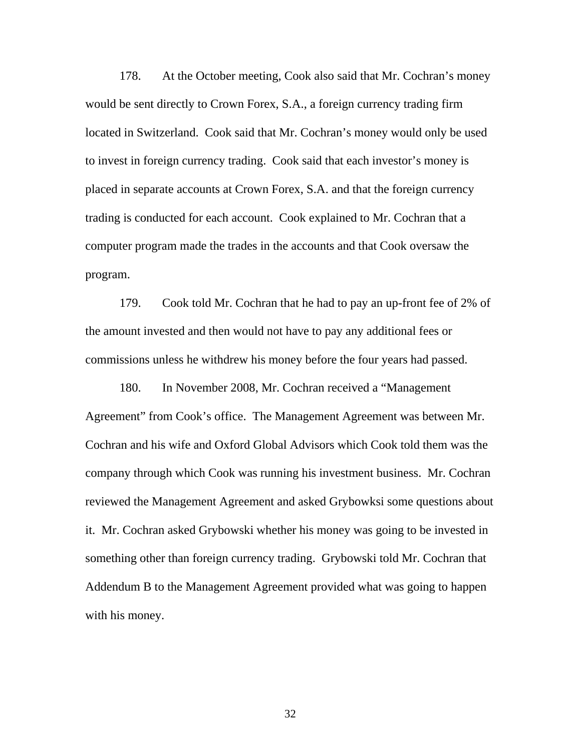178. At the October meeting, Cook also said that Mr. Cochran's money would be sent directly to Crown Forex, S.A., a foreign currency trading firm located in Switzerland. Cook said that Mr. Cochran's money would only be used to invest in foreign currency trading. Cook said that each investor's money is placed in separate accounts at Crown Forex, S.A. and that the foreign currency trading is conducted for each account. Cook explained to Mr. Cochran that a computer program made the trades in the accounts and that Cook oversaw the program.

179. Cook told Mr. Cochran that he had to pay an up-front fee of 2% of the amount invested and then would not have to pay any additional fees or commissions unless he withdrew his money before the four years had passed.

180. In November 2008, Mr. Cochran received a "Management Agreement" from Cook's office. The Management Agreement was between Mr. Cochran and his wife and Oxford Global Advisors which Cook told them was the company through which Cook was running his investment business. Mr. Cochran reviewed the Management Agreement and asked Grybowksi some questions about it. Mr. Cochran asked Grybowski whether his money was going to be invested in something other than foreign currency trading. Grybowski told Mr. Cochran that Addendum B to the Management Agreement provided what was going to happen with his money.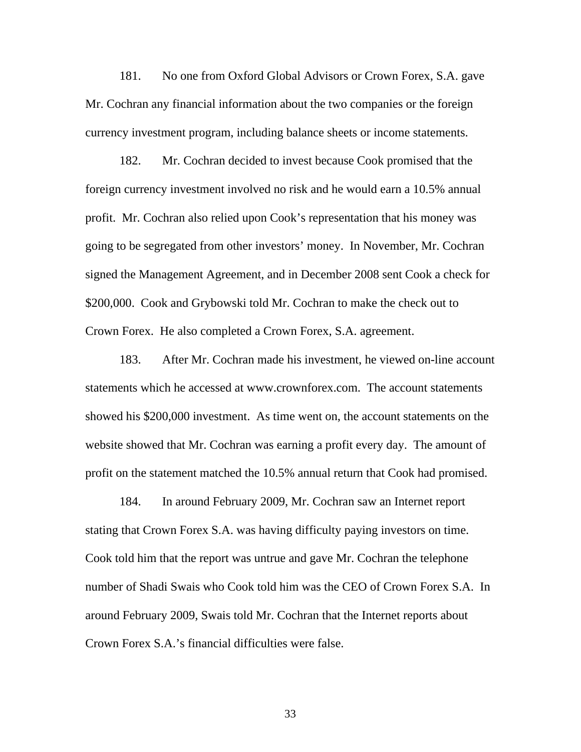181. No one from Oxford Global Advisors or Crown Forex, S.A. gave Mr. Cochran any financial information about the two companies or the foreign currency investment program, including balance sheets or income statements.

182. Mr. Cochran decided to invest because Cook promised that the foreign currency investment involved no risk and he would earn a 10.5% annual profit. Mr. Cochran also relied upon Cook's representation that his money was going to be segregated from other investors' money. In November, Mr. Cochran signed the Management Agreement, and in December 2008 sent Cook a check for \$200,000. Cook and Grybowski told Mr. Cochran to make the check out to Crown Forex. He also completed a Crown Forex, S.A. agreement.

183. After Mr. Cochran made his investment, he viewed on-line account statements which he accessed at www.crownforex.com. The account statements showed his \$200,000 investment. As time went on, the account statements on the website showed that Mr. Cochran was earning a profit every day. The amount of profit on the statement matched the 10.5% annual return that Cook had promised.

184. In around February 2009, Mr. Cochran saw an Internet report stating that Crown Forex S.A. was having difficulty paying investors on time. Cook told him that the report was untrue and gave Mr. Cochran the telephone number of Shadi Swais who Cook told him was the CEO of Crown Forex S.A. In around February 2009, Swais told Mr. Cochran that the Internet reports about Crown Forex S.A.'s financial difficulties were false.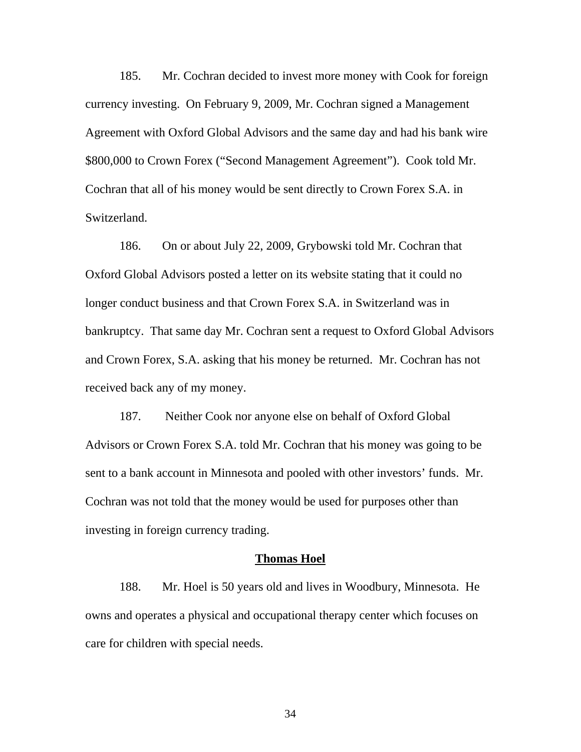185. Mr. Cochran decided to invest more money with Cook for foreign currency investing. On February 9, 2009, Mr. Cochran signed a Management Agreement with Oxford Global Advisors and the same day and had his bank wire \$800,000 to Crown Forex ("Second Management Agreement"). Cook told Mr. Cochran that all of his money would be sent directly to Crown Forex S.A. in Switzerland.

received back any of my money. 186. On or about July 22, 2009, Grybowski told Mr. Cochran that Oxford Global Advisors posted a letter on its website stating that it could no longer conduct business and that Crown Forex S.A. in Switzerland was in bankruptcy. That same day Mr. Cochran sent a request to Oxford Global Advisors and Crown Forex, S.A. asking that his money be returned. Mr. Cochran has not

187. Neither Cook nor anyone else on behalf of Oxford Global Advisors or Crown Forex S.A. told Mr. Cochran that his money was going to be sent to a bank account in Minnesota and pooled with other investors' funds. Mr. Cochran was not told that the money would be used for purposes other than investing in foreign currency trading.

### **Thomas Hoel**

188. Mr. Hoel is 50 years old and lives in Woodbury, Minnesota. He owns and operates a physical and occupational therapy center which focuses on care for children with special needs.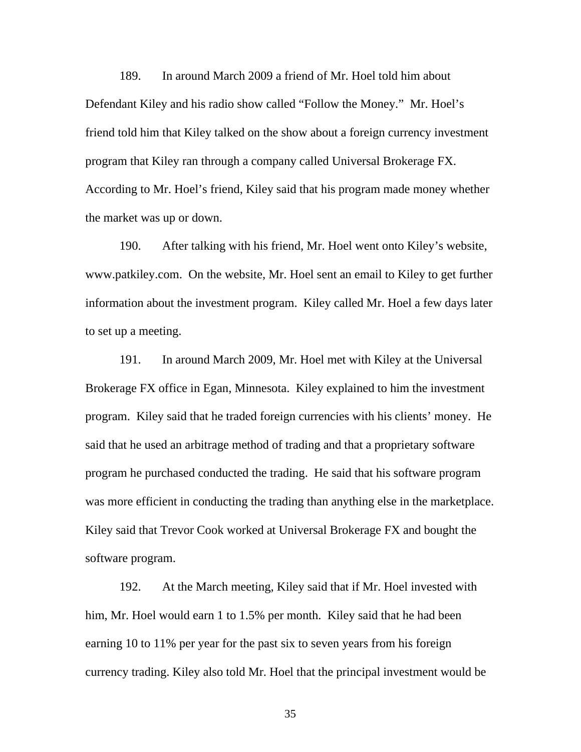189. In around March 2009 a friend of Mr. Hoel told him about Defendant Kiley and his radio show called "Follow the Money." Mr. Hoel's friend told him that Kiley talked on the show about a foreign currency investment program that Kiley ran through a company called Universal Brokerage FX. According to Mr. Hoel's friend, Kiley said that his program made money whether the market was up or down.

190. After talking with his friend, Mr. Hoel went onto Kiley's website, www.patkiley.com. On the website, Mr. Hoel sent an email to Kiley to get further information about the investment program. Kiley called Mr. Hoel a few days later to set up a meeting.

191. In around March 2009, Mr. Hoel met with Kiley at the Universal Brokerage FX office in Egan, Minnesota. Kiley explained to him the investment program. Kiley said that he traded foreign currencies with his clients' money. He said that he used an arbitrage method of trading and that a proprietary software program he purchased conducted the trading. He said that his software program was more efficient in conducting the trading than anything else in the marketplace. Kiley said that Trevor Cook worked at Universal Brokerage FX and bought the software program.

192. At the March meeting, Kiley said that if Mr. Hoel invested with him, Mr. Hoel would earn 1 to 1.5% per month. Kiley said that he had been earning 10 to 11% per year for the past six to seven years from his foreign currency trading. Kiley also told Mr. Hoel that the principal investment would be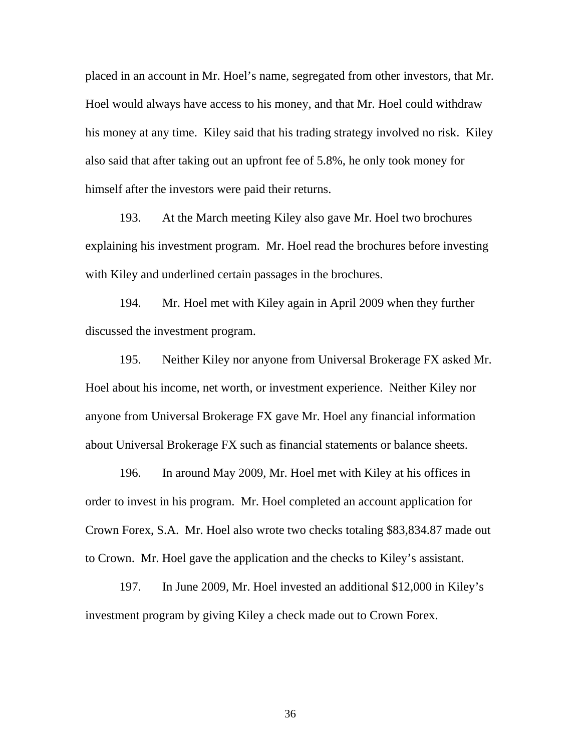placed in an account in Mr. Hoel's name, segregated from other investors, that Mr. Hoel would always have access to his money, and that Mr. Hoel could withdraw his money at any time. Kiley said that his trading strategy involved no risk. Kiley also said that after taking out an upfront fee of 5.8%, he only took money for himself after the investors were paid their returns.

193. At the March meeting Kiley also gave Mr. Hoel two brochures explaining his investment program. Mr. Hoel read the brochures before investing with Kiley and underlined certain passages in the brochures.

194. Mr. Hoel met with Kiley again in April 2009 when they further discussed the investment program.

195. Neither Kiley nor anyone from Universal Brokerage FX asked Mr. Hoel about his income, net worth, or investment experience. Neither Kiley nor anyone from Universal Brokerage FX gave Mr. Hoel any financial information about Universal Brokerage FX such as financial statements or balance sheets.

196. In around May 2009, Mr. Hoel met with Kiley at his offices in order to invest in his program. Mr. Hoel completed an account application for Crown Forex, S.A. Mr. Hoel also wrote two checks totaling \$83,834.87 made out to Crown. Mr. Hoel gave the application and the checks to Kiley's assistant.

197. In June 2009, Mr. Hoel invested an additional \$12,000 in Kiley's investment program by giving Kiley a check made out to Crown Forex.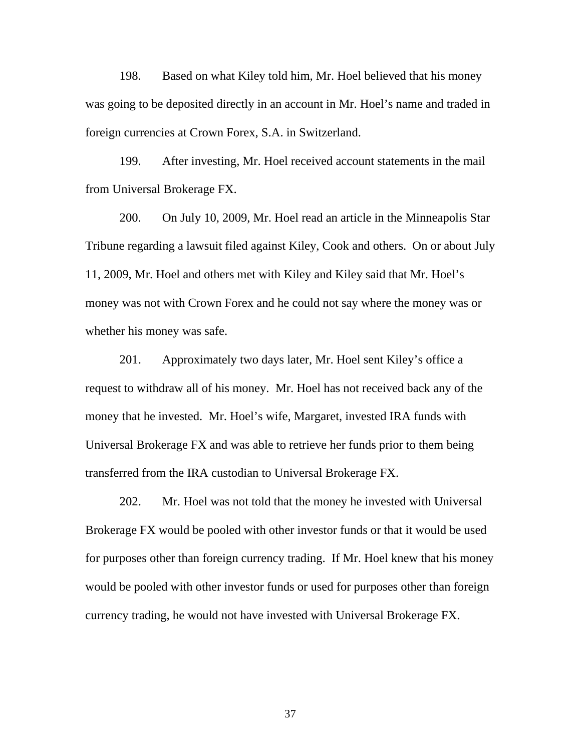198. Based on what Kiley told him, Mr. Hoel believed that his money was going to be deposited directly in an account in Mr. Hoel's name and traded in foreign currencies at Crown Forex, S.A. in Switzerland.

199. After investing, Mr. Hoel received account statements in the mail from Universal Brokerage FX.

200. On July 10, 2009, Mr. Hoel read an article in the Minneapolis Star Tribune regarding a lawsuit filed against Kiley, Cook and others. On or about July 11, 2009, Mr. Hoel and others met with Kiley and Kiley said that Mr. Hoel's money was not with Crown Forex and he could not say where the money was or whether his money was safe.

201. Approximately two days later, Mr. Hoel sent Kiley's office a request to withdraw all of his money. Mr. Hoel has not received back any of the money that he invested. Mr. Hoel's wife, Margaret, invested IRA funds with Universal Brokerage FX and was able to retrieve her funds prior to them being transferred from the IRA custodian to Universal Brokerage FX.

202. Mr. Hoel was not told that the money he invested with Universal Brokerage FX would be pooled with other investor funds or that it would be used for purposes other than foreign currency trading. If Mr. Hoel knew that his money would be pooled with other investor funds or used for purposes other than foreign currency trading, he would not have invested with Universal Brokerage FX.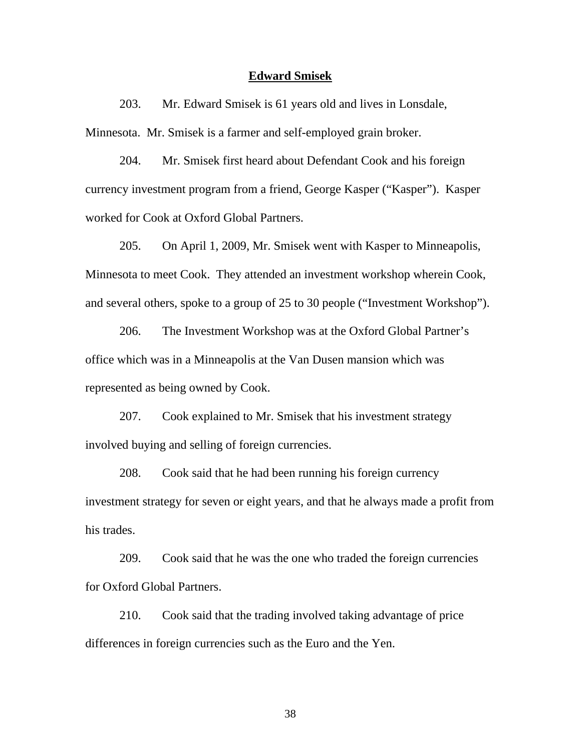#### **Edward Smisek**

203. Mr. Edward Smisek is 61 years old and lives in Lonsdale, Minnesota. Mr. Smisek is a farmer and self-employed grain broker.

204. Mr. Smisek first heard about Defendant Cook and his foreign currency investment program from a friend, George Kasper ("Kasper"). Kasper worked for Cook at Oxford Global Partners.

205. On April 1, 2009, Mr. Smisek went with Kasper to Minneapolis, Minnesota to meet Cook. They attended an investment workshop wherein Cook, and several others, spoke to a group of 25 to 30 people ("Investment Workshop").

206. The Investment Workshop was at the Oxford Global Partner's office which was in a Minneapolis at the Van Dusen mansion which was represented as being owned by Cook.

207. Cook explained to Mr. Smisek that his investment strategy involved buying and selling of foreign currencies.

208. Cook said that he had been running his foreign currency investment strategy for seven or eight years, and that he always made a profit from his trades.

209. Cook said that he was the one who traded the foreign currencies for Oxford Global Partners.

210. Cook said that the trading involved taking advantage of price differences in foreign currencies such as the Euro and the Yen.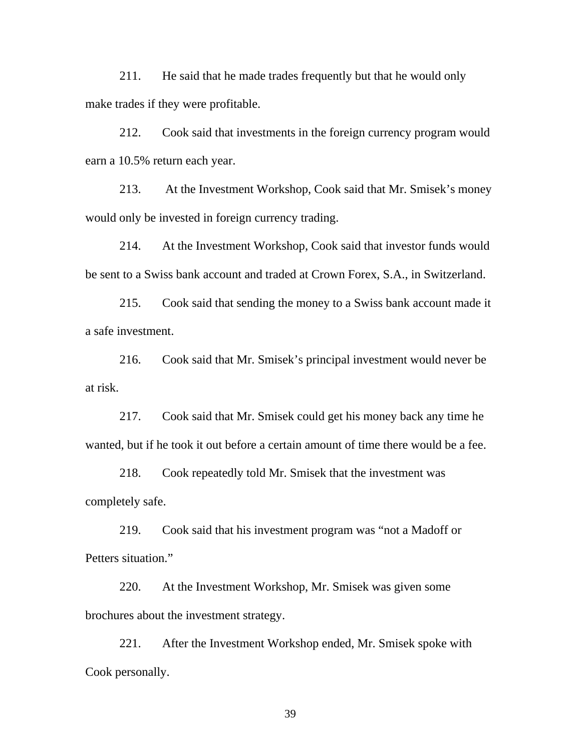211. He said that he made trades frequently but that he would only make trades if they were profitable.

212. Cook said that investments in the foreign currency program would earn a 10.5% return each year.

213. At the Investment Workshop, Cook said that Mr. Smisek's money would only be invested in foreign currency trading.

214. At the Investment Workshop, Cook said that investor funds would be sent to a Swiss bank account and traded at Crown Forex, S.A., in Switzerland.

215. Cook said that sending the money to a Swiss bank account made it a safe investment.

216. Cook said that Mr. Smisek's principal investment would never be at risk.

217. Cook said that Mr. Smisek could get his money back any time he wanted, but if he took it out before a certain amount of time there would be a fee.

218. Cook repeatedly told Mr. Smisek that the investment was completely safe.

219. Cook said that his investment program was "not a Madoff or Petters situation."

220. At the Investment Workshop, Mr. Smisek was given some brochures about the investment strategy.

221. After the Investment Workshop ended, Mr. Smisek spoke with Cook personally.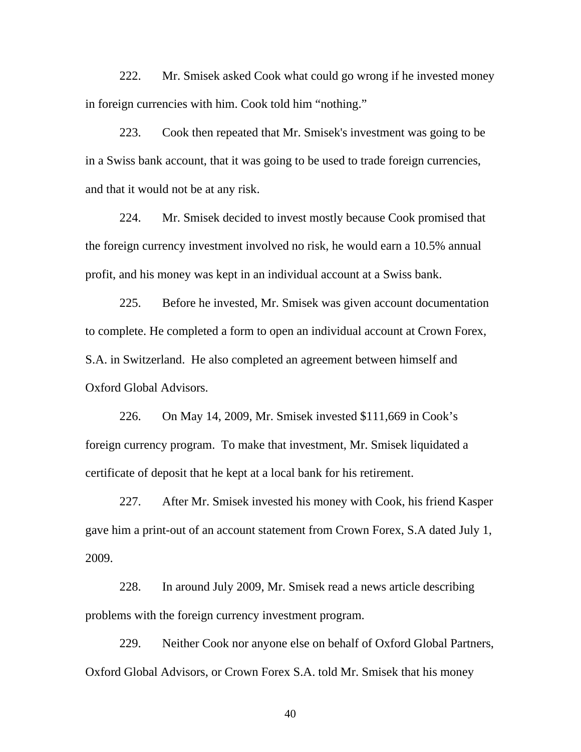222. Mr. Smisek asked Cook what could go wrong if he invested money in foreign currencies with him. Cook told him "nothing."

223. Cook then repeated that Mr. Smisek's investment was going to be in a Swiss bank account, that it was going to be used to trade foreign currencies, and that it would not be at any risk.

224. Mr. Smisek decided to invest mostly because Cook promised that the foreign currency investment involved no risk, he would earn a 10.5% annual profit, and his money was kept in an individual account at a Swiss bank.

225. Before he invested, Mr. Smisek was given account documentation to complete. He completed a form to open an individual account at Crown Forex, S.A. in Switzerland. He also completed an agreement between himself and Oxford Global Advisors.

226. On May 14, 2009, Mr. Smisek invested \$111,669 in Cook's foreign currency program. To make that investment, Mr. Smisek liquidated a certificate of deposit that he kept at a local bank for his retirement.

227. After Mr. Smisek invested his money with Cook, his friend Kasper gave him a print-out of an account statement from Crown Forex, S.A dated July 1, 2009.

228. In around July 2009, Mr. Smisek read a news article describing problems with the foreign currency investment program.

229. Neither Cook nor anyone else on behalf of Oxford Global Partners, Oxford Global Advisors, or Crown Forex S.A. told Mr. Smisek that his money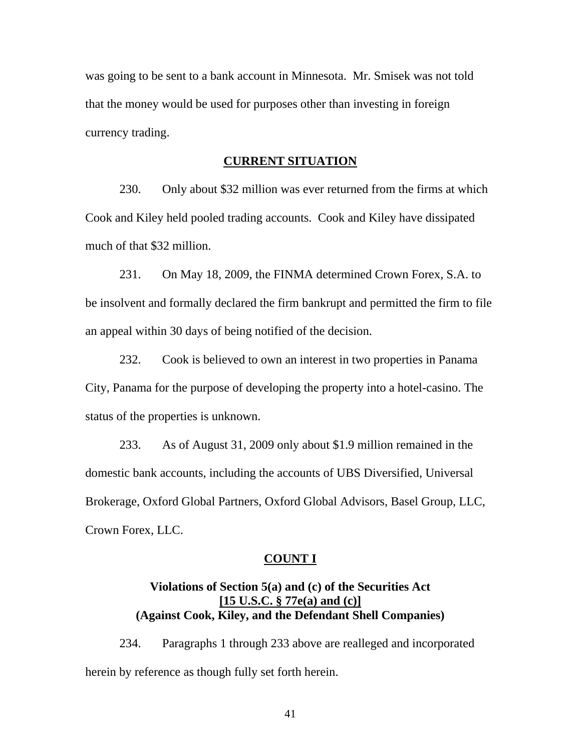was going to be sent to a bank account in Minnesota. Mr. Smisek was not told that the money would be used for purposes other than investing in foreign currency trading.

#### **CURRENT SITUATION**

230. Only about \$32 million was ever returned from the firms at which Cook and Kiley held pooled trading accounts. Cook and Kiley have dissipated much of that \$32 million.

231. On May 18, 2009, the FINMA determined Crown Forex, S.A. to be insolvent and formally declared the firm bankrupt and permitted the firm to file an appeal within 30 days of being notified of the decision.

232. Cook is believed to own an interest in two properties in Panama City, Panama for the purpose of developing the property into a hotel-casino. The status of the properties is unknown.

233. As of August 31, 2009 only about \$1.9 million remained in the domestic bank accounts, including the accounts of UBS Diversified, Universal Brokerage, Oxford Global Partners, Oxford Global Advisors, Basel Group, LLC, Crown Forex, LLC.

## **COUNT I**

# **Violations of Section 5(a) and (c) of the Securities Act [15 U.S.C. § 77e(a) and (c)] (Against Cook, Kiley, and the Defendant Shell Companies)**

234. Paragraphs 1 through 233 above are realleged and incorporated herein by reference as though fully set forth herein.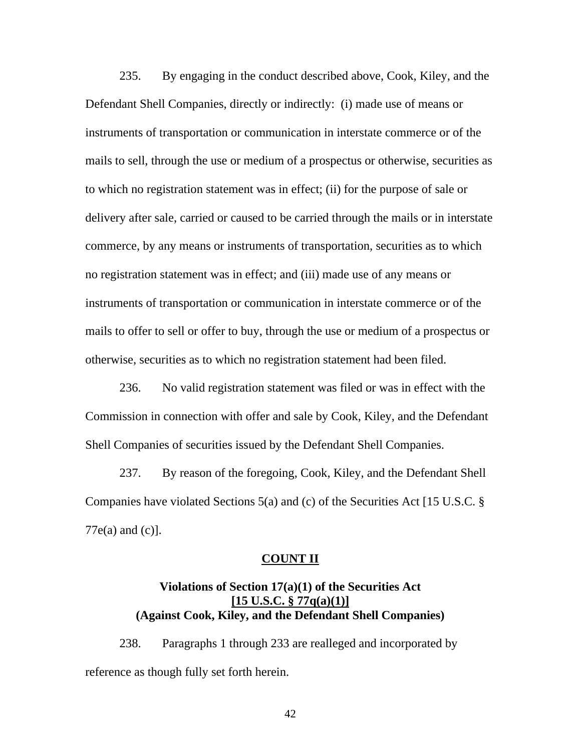235. By engaging in the conduct described above, Cook, Kiley, and the Defendant Shell Companies, directly or indirectly: (i) made use of means or instruments of transportation or communication in interstate commerce or of the mails to sell, through the use or medium of a prospectus or otherwise, securities as to which no registration statement was in effect; (ii) for the purpose of sale or delivery after sale, carried or caused to be carried through the mails or in interstate commerce, by any means or instruments of transportation, securities as to which no registration statement was in effect; and (iii) made use of any means or instruments of transportation or communication in interstate commerce or of the mails to offer to sell or offer to buy, through the use or medium of a prospectus or otherwise, securities as to which no registration statement had been filed.

236. No valid registration statement was filed or was in effect with the Commission in connection with offer and sale by Cook, Kiley, and the Defendant Shell Companies of securities issued by the Defendant Shell Companies.

237. By reason of the foregoing, Cook, Kiley, and the Defendant Shell Companies have violated Sections 5(a) and (c) of the Securities Act [15 U.S.C. §  $77e(a)$  and  $(c)$ ].

# **COUNT II**

# **Violations of Section 17(a)(1) of the Securities Act [15 U.S.C. § 77q(a)(1)] (Against Cook, Kiley, and the Defendant Shell Companies)**

238. Paragraphs 1 through 233 are realleged and incorporated by reference as though fully set forth herein.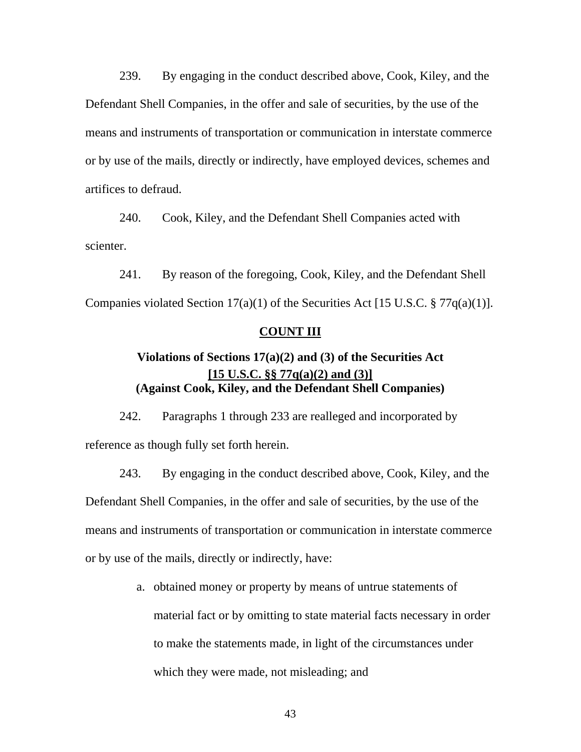239. By engaging in the conduct described above, Cook, Kiley, and the Defendant Shell Companies, in the offer and sale of securities, by the use of the means and instruments of transportation or communication in interstate commerce or by use of the mails, directly or indirectly, have employed devices, schemes and artifices to defraud.

240. Cook, Kiley, and the Defendant Shell Companies acted with scienter.

241. By reason of the foregoing, Cook, Kiley, and the Defendant Shell Companies violated Section  $17(a)(1)$  of the Securities Act [15 U.S.C. § 77 $q(a)(1)$ ].

## **COUNT III**

# **Violations of Sections 17(a)(2) and (3) of the Securities Act [15 U.S.C. §§ 77q(a)(2) and (3)] (Against Cook, Kiley, and the Defendant Shell Companies)**

242. Paragraphs 1 through 233 are realleged and incorporated by reference as though fully set forth herein.

243. By engaging in the conduct described above, Cook, Kiley, and the Defendant Shell Companies, in the offer and sale of securities, by the use of the means and instruments of transportation or communication in interstate commerce or by use of the mails, directly or indirectly, have:

> a. obtained money or property by means of untrue statements of material fact or by omitting to state material facts necessary in order to make the statements made, in light of the circumstances under which they were made, not misleading; and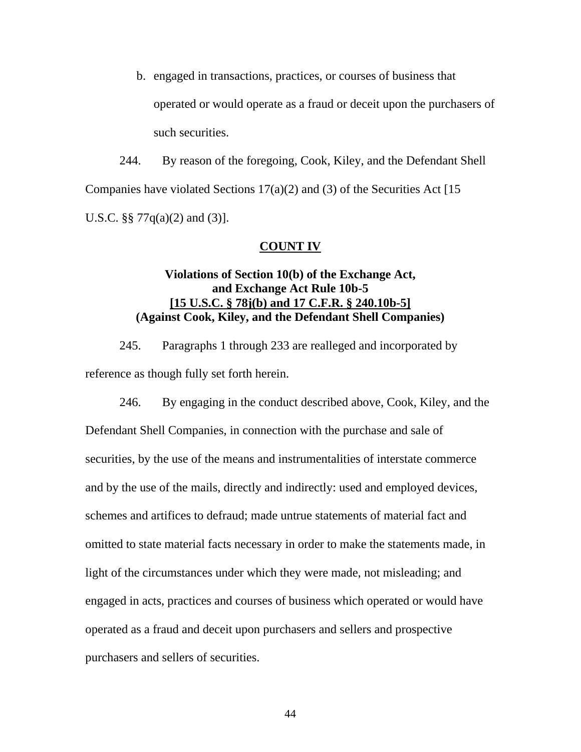b. engaged in transactions, practices, or courses of business that operated or would operate as a fraud or deceit upon the purchasers of such securities.

244. By reason of the foregoing, Cook, Kiley, and the Defendant Shell Companies have violated Sections  $17(a)(2)$  and (3) of the Securities Act [15] U.S.C. §§ 77 $q(a)(2)$  and  $(3)$ ].

## **COUNT IV**

# **Violations of Section 10(b) of the Exchange Act, and Exchange Act Rule 10b-5 [15 U.S.C. § 78j(b) and 17 C.F.R. § 240.10b-5] (Against Cook, Kiley, and the Defendant Shell Companies)**

245. Paragraphs 1 through 233 are realleged and incorporated by reference as though fully set forth herein.

246. By engaging in the conduct described above, Cook, Kiley, and the Defendant Shell Companies, in connection with the purchase and sale of securities, by the use of the means and instrumentalities of interstate commerce and by the use of the mails, directly and indirectly: used and employed devices, schemes and artifices to defraud; made untrue statements of material fact and omitted to state material facts necessary in order to make the statements made, in light of the circumstances under which they were made, not misleading; and engaged in acts, practices and courses of business which operated or would have operated as a fraud and deceit upon purchasers and sellers and prospective purchasers and sellers of securities.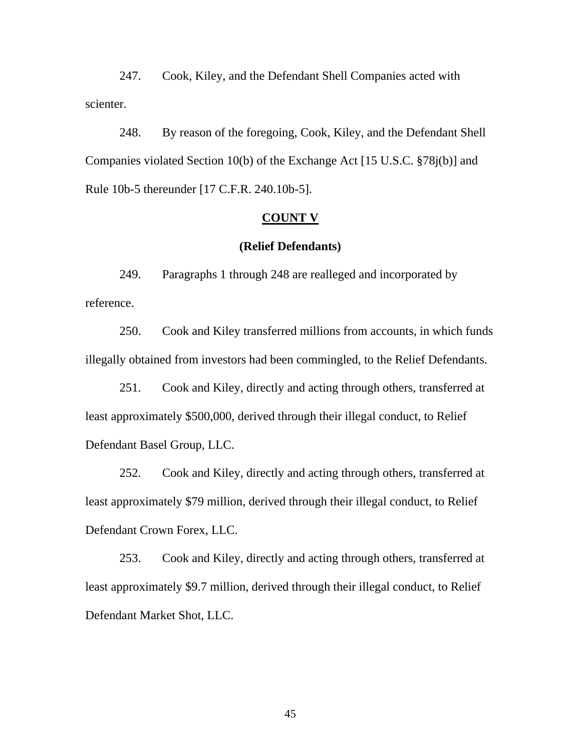247. Cook, Kiley, and the Defendant Shell Companies acted with scienter.

248. By reason of the foregoing, Cook, Kiley, and the Defendant Shell Companies violated Section 10(b) of the Exchange Act [15 U.S.C. §78j(b)] and Rule 10b-5 thereunder [17 C.F.R. 240.10b-5].

#### **COUNT V**

### **(Relief Defendants)**

249. Paragraphs 1 through 248 are realleged and incorporated by reference.

250. Cook and Kiley transferred millions from accounts, in which funds illegally obtained from investors had been commingled, to the Relief Defendants.

251. Cook and Kiley, directly and acting through others, transferred at least approximately \$500,000, derived through their illegal conduct, to Relief Defendant Basel Group, LLC.

252. Cook and Kiley, directly and acting through others, transferred at least approximately \$79 million, derived through their illegal conduct, to Relief Defendant Crown Forex, LLC.

253. Cook and Kiley, directly and acting through others, transferred at least approximately \$9.7 million, derived through their illegal conduct, to Relief Defendant Market Shot, LLC.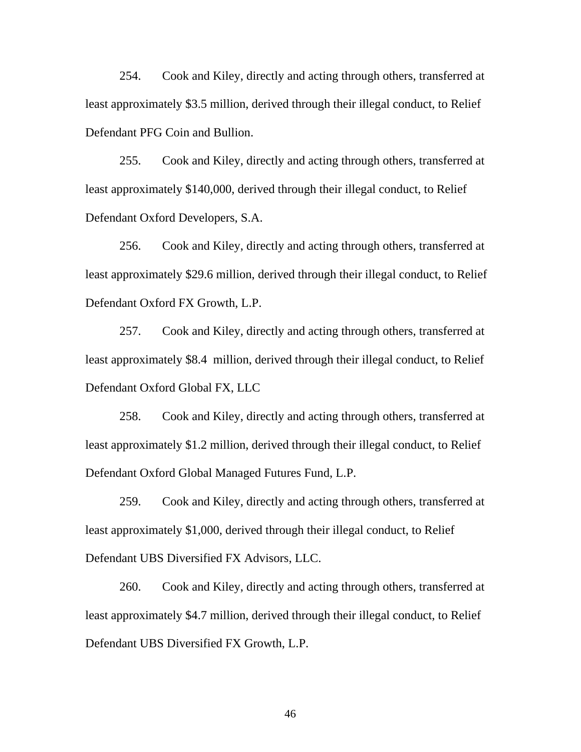254. Cook and Kiley, directly and acting through others, transferred at least approximately \$3.5 million, derived through their illegal conduct, to Relief Defendant PFG Coin and Bullion.

255. Cook and Kiley, directly and acting through others, transferred at least approximately \$140,000, derived through their illegal conduct, to Relief Defendant Oxford Developers, S.A.

256. Cook and Kiley, directly and acting through others, transferred at least approximately \$29.6 million, derived through their illegal conduct, to Relief Defendant Oxford FX Growth, L.P.

257. Cook and Kiley, directly and acting through others, transferred at least approximately \$8.4 million, derived through their illegal conduct, to Relief Defendant Oxford Global FX, LLC

258. Cook and Kiley, directly and acting through others, transferred at least approximately \$1.2 million, derived through their illegal conduct, to Relief Defendant Oxford Global Managed Futures Fund, L.P.

259. Cook and Kiley, directly and acting through others, transferred at least approximately \$1,000, derived through their illegal conduct, to Relief Defendant UBS Diversified FX Advisors, LLC.

Defendant UBS Diversified FX Growth, L.P.<br>46 260. Cook and Kiley, directly and acting through others, transferred at least approximately \$4.7 million, derived through their illegal conduct, to Relief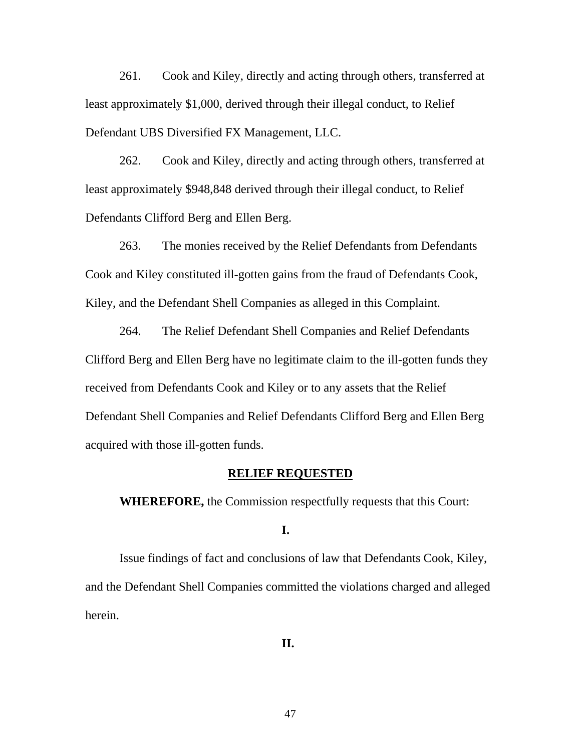261. Cook and Kiley, directly and acting through others, transferred at least approximately \$1,000, derived through their illegal conduct, to Relief Defendant UBS Diversified FX Management, LLC.

262. Cook and Kiley, directly and acting through others, transferred at least approximately \$948,848 derived through their illegal conduct, to Relief Defendants Clifford Berg and Ellen Berg.

263. The monies received by the Relief Defendants from Defendants Cook and Kiley constituted ill-gotten gains from the fraud of Defendants Cook, Kiley, and the Defendant Shell Companies as alleged in this Complaint.

264. The Relief Defendant Shell Companies and Relief Defendants Clifford Berg and Ellen Berg have no legitimate claim to the ill-gotten funds they received from Defendants Cook and Kiley or to any assets that the Relief Defendant Shell Companies and Relief Defendants Clifford Berg and Ellen Berg acquired with those ill-gotten funds.

#### **RELIEF REQUESTED**

 **WHEREFORE,** the Commission respectfully requests that this Court:

**I.** 

Issue findings of fact and conclusions of law that Defendants Cook, Kiley, and the Defendant Shell Companies committed the violations charged and alleged herein.

**II.**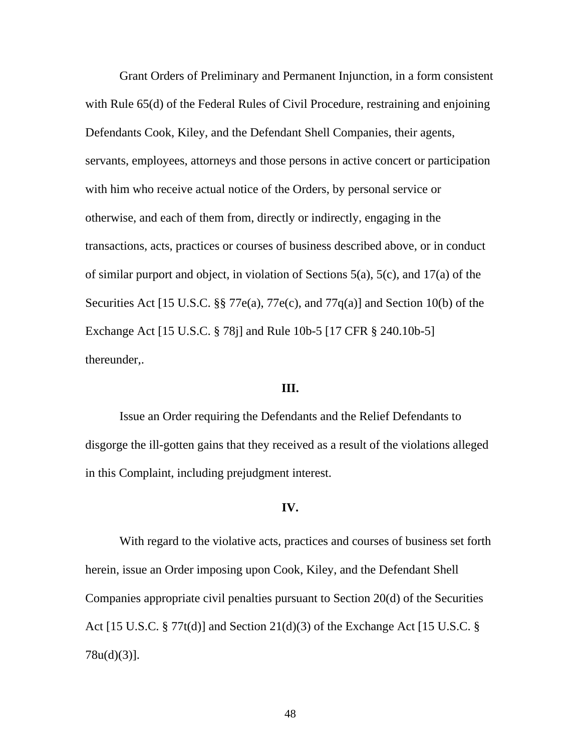Grant Orders of Preliminary and Permanent Injunction, in a form consistent with Rule 65(d) of the Federal Rules of Civil Procedure, restraining and enjoining Defendants Cook, Kiley, and the Defendant Shell Companies, their agents, servants, employees, attorneys and those persons in active concert or participation with him who receive actual notice of the Orders, by personal service or otherwise, and each of them from, directly or indirectly, engaging in the transactions, acts, practices or courses of business described above, or in conduct of similar purport and object, in violation of Sections 5(a), 5(c), and 17(a) of the Securities Act [15 U.S.C. §§ 77 $e(a)$ , 77 $e(c)$ , and 77 $q(a)$ ] and Section 10(b) of the Exchange Act [15 U.S.C. § 78j] and Rule 10b-5 [17 CFR § 240.10b-5] thereunder,.

## **III.**

Issue an Order requiring the Defendants and the Relief Defendants to disgorge the ill-gotten gains that they received as a result of the violations alleged in this Complaint, including prejudgment interest.

### **IV.**

With regard to the violative acts, practices and courses of business set forth herein, issue an Order imposing upon Cook, Kiley, and the Defendant Shell Companies appropriate civil penalties pursuant to Section 20(d) of the Securities Act [15 U.S.C. § 77t(d)] and Section 21(d)(3) of the Exchange Act [15 U.S.C. § 78u(d)(3)].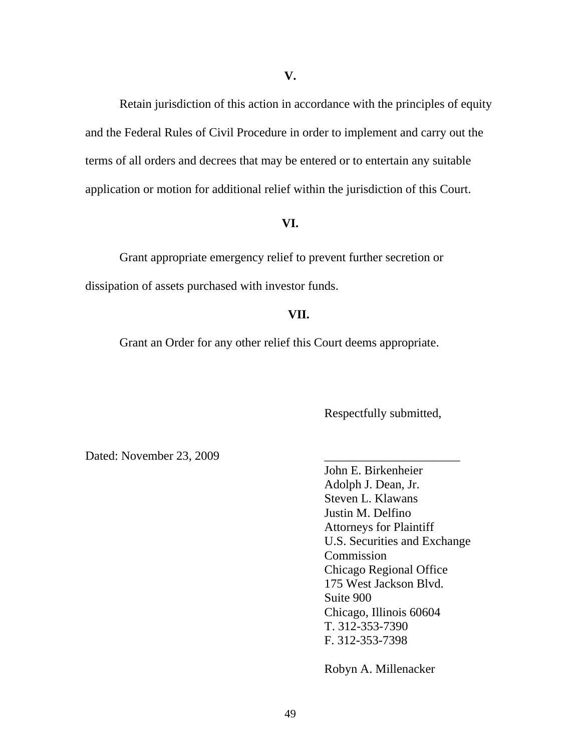Retain jurisdiction of this action in accordance with the principles of equity and the Federal Rules of Civil Procedure in order to implement and carry out the terms of all orders and decrees that may be entered or to entertain any suitable application or motion for additional relief within the jurisdiction of this Court.

### **VI.**

Grant appropriate emergency relief to prevent further secretion or dissipation of assets purchased with investor funds.

# **VII.**

Grant an Order for any other relief this Court deems appropriate.

Respectfully submitted,

Dated: November 23, 2009

John E. Birkenheier Adolph J. Dean, Jr. Steven L. Klawans Justin M. Delfino Attorneys for Plaintiff U.S. Securities and Exchange Commission Chicago Regional Office 175 West Jackson Blvd. Suite 900 Chicago, Illinois 60604 T. 312-353-7390 F. 312-353-7398

Robyn A. Millenacker